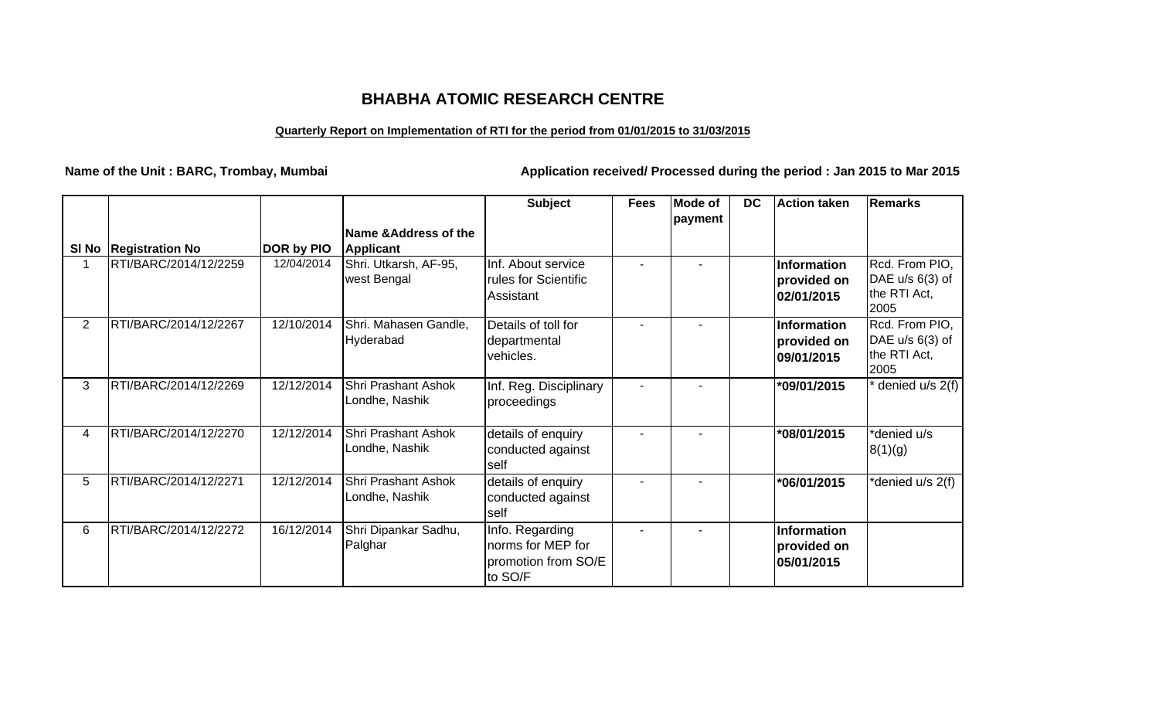## **BHABHA ATOMIC RESEARCH CENTRE**

## **Quarterly Report on Implementation of RTI for the period from 01/01/2015 to 31/03/2015**

**Name of the Unit : BARC, Trombay, Mumbai Application received/ Processed during the period : Jan 2015 to Mar 2015**

|                |                         |            |                                              | <b>Subject</b>                                                         | <b>Fees</b> | <b>Mode of</b> | <b>DC</b> | Action taken                                    | <b>Remarks</b>                                              |
|----------------|-------------------------|------------|----------------------------------------------|------------------------------------------------------------------------|-------------|----------------|-----------|-------------------------------------------------|-------------------------------------------------------------|
|                | SI No   Registration No | DOR by PIO | Name & Address of the<br><b>Applicant</b>    |                                                                        |             | payment        |           |                                                 |                                                             |
|                | RTI/BARC/2014/12/2259   | 12/04/2014 | Shri. Utkarsh, AF-95,<br>west Bengal         | Inf. About service<br>rules for Scientific<br>Assistant                |             |                |           | <b>Information</b><br>provided on<br>02/01/2015 | Rcd. From PIO,<br>DAE u/s 6(3) of<br>the RTI Act,<br>2005   |
| $\overline{2}$ | RTI/BARC/2014/12/2267   | 12/10/2014 | Shri. Mahasen Gandle,<br>Hyderabad           | Details of toll for<br>departmental<br>vehicles.                       |             |                |           | Information<br>provided on<br>09/01/2015        | Rcd. From PIO,<br>DAE $u/s$ 6(3) of<br>the RTI Act,<br>2005 |
| 3              | RTI/BARC/2014/12/2269   | 12/12/2014 | <b>Shri Prashant Ashok</b><br>Londhe, Nashik | Inf. Reg. Disciplinary<br>proceedings                                  |             |                |           | *09/01/2015                                     | denied u/s 2(f)                                             |
| 4              | RTI/BARC/2014/12/2270   | 12/12/2014 | <b>Shri Prashant Ashok</b><br>Londhe, Nashik | details of enquiry<br>conducted against<br><b>self</b>                 |             |                |           | *08/01/2015                                     | *denied u/s<br>8(1)(g)                                      |
| 5              | RTI/BARC/2014/12/2271   | 12/12/2014 | Shri Prashant Ashok<br>Londhe, Nashik        | details of enquiry<br>conducted against<br>self                        |             |                |           | *06/01/2015                                     | denied u/s 2(f)                                             |
| 6              | RTI/BARC/2014/12/2272   | 16/12/2014 | Shri Dipankar Sadhu,<br>Palghar              | Info. Regarding<br>norms for MEP for<br>promotion from SO/E<br>to SO/F |             |                |           | Information<br>provided on<br>05/01/2015        |                                                             |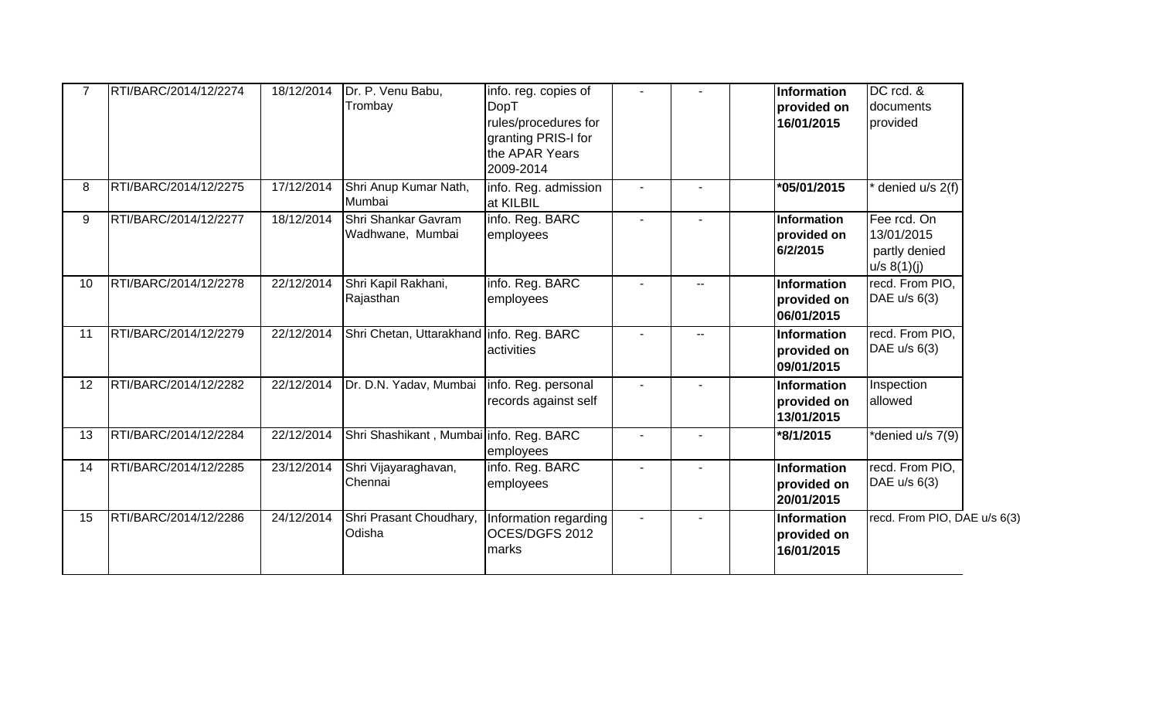|                 | RTI/BARC/2014/12/2274 | 18/12/2014 | Dr. P. Venu Babu,<br>Trombay             | info. reg. copies of<br>DopT<br>rules/procedures for<br>granting PRIS-I for<br>the APAR Years<br>2009-2014 |        |     | Information<br>provided on<br>16/01/2015        | DC rcd. &<br>documents<br>provided                        |  |
|-----------------|-----------------------|------------|------------------------------------------|------------------------------------------------------------------------------------------------------------|--------|-----|-------------------------------------------------|-----------------------------------------------------------|--|
| 8               | RTI/BARC/2014/12/2275 | 17/12/2014 | Shri Anup Kumar Nath,<br>Mumbai          | info. Reg. admission<br>at KILBIL                                                                          |        |     | *05/01/2015                                     | denied u/s 2(f)                                           |  |
| 9               | RTI/BARC/2014/12/2277 | 18/12/2014 | Shri Shankar Gavram<br>Wadhwane, Mumbai  | info. Reg. BARC<br>employees                                                                               |        |     | Information<br>provided on<br>6/2/2015          | Fee rcd. On<br>13/01/2015<br>partly denied<br>u/s 8(1)(j) |  |
| 10 <sup>1</sup> | RTI/BARC/2014/12/2278 | 22/12/2014 | Shri Kapil Rakhani,<br>Rajasthan         | info. Reg. BARC<br>employees                                                                               |        | $-$ | Information<br>provided on<br>06/01/2015        | recd. From PIO,<br>DAE $u/s$ 6(3)                         |  |
| 11              | RTI/BARC/2014/12/2279 | 22/12/2014 | Shri Chetan, Uttarakhand info. Reg. BARC | activities                                                                                                 |        | $-$ | Information<br>provided on<br>09/01/2015        | recd. From PIO,<br>DAE u/s 6(3)                           |  |
| 12              | RTI/BARC/2014/12/2282 | 22/12/2014 | Dr. D.N. Yadav, Mumbai                   | info. Reg. personal<br>records against self                                                                |        |     | <b>Information</b><br>provided on<br>13/01/2015 | Inspection<br>allowed                                     |  |
| 13              | RTI/BARC/2014/12/2284 | 22/12/2014 | Shri Shashikant, Mumbai info. Reg. BARC  | employees                                                                                                  |        |     | *8/1/2015                                       | *denied u/s 7(9)                                          |  |
| 14              | RTI/BARC/2014/12/2285 | 23/12/2014 | Shri Vijayaraghavan,<br>Chennai          | info. Reg. BARC<br>employees                                                                               |        |     | Information<br>provided on<br>20/01/2015        | recd. From PIO,<br>DAE $u/s$ 6(3)                         |  |
| 15              | RTI/BARC/2014/12/2286 | 24/12/2014 | Shri Prasant Choudhary,<br>Odisha        | Information regarding<br>OCES/DGFS 2012<br>marks                                                           | $\sim$ |     | Information<br>provided on<br>16/01/2015        | recd. From PIO, DAE u/s 6(3)                              |  |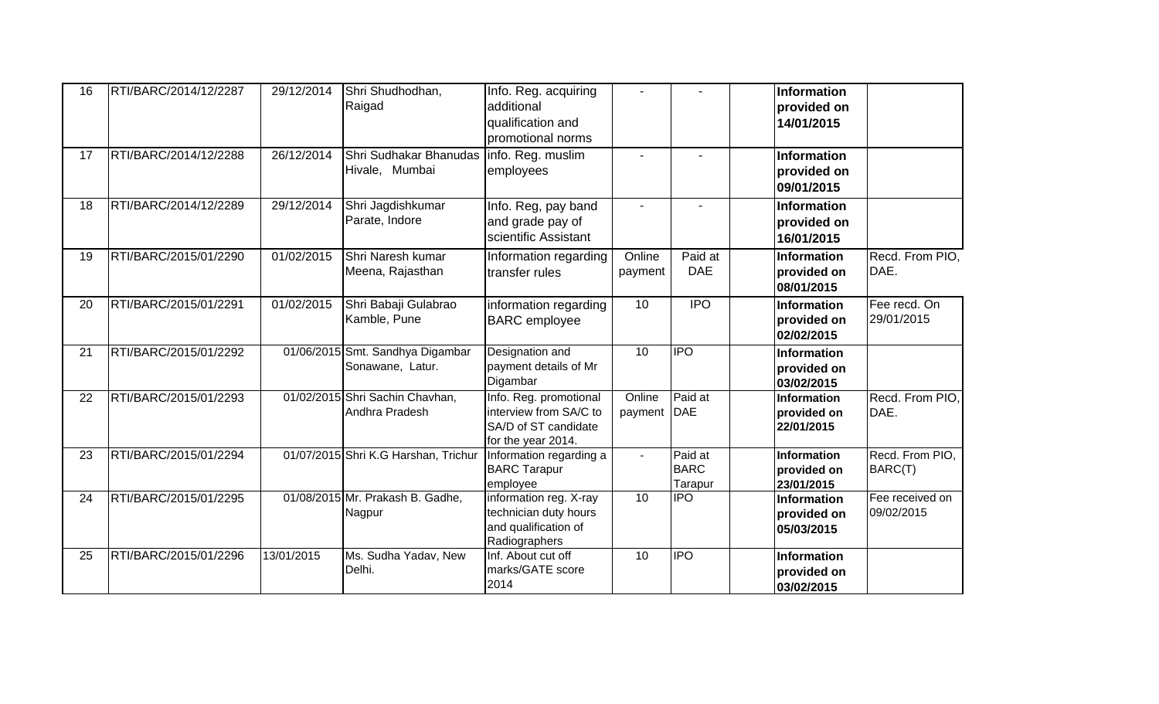| 16 | RTI/BARC/2014/12/2287 | 29/12/2014 | Shri Shudhodhan,<br>Raigad                                   | Info. Reg. acquiring<br>additional<br>qualification and<br>promotional norms                   |                       |                                   | Information<br>provided on<br>14/01/2015 |                               |
|----|-----------------------|------------|--------------------------------------------------------------|------------------------------------------------------------------------------------------------|-----------------------|-----------------------------------|------------------------------------------|-------------------------------|
| 17 | RTI/BARC/2014/12/2288 | 26/12/2014 | Shri Sudhakar Bhanudas   info. Reg. muslim<br>Hivale, Mumbai | employees                                                                                      | $\blacksquare$        |                                   | Information<br>provided on<br>09/01/2015 |                               |
| 18 | RTI/BARC/2014/12/2289 | 29/12/2014 | Shri Jagdishkumar<br>Parate, Indore                          | Info. Reg, pay band<br>and grade pay of<br>scientific Assistant                                |                       |                                   | Information<br>provided on<br>16/01/2015 |                               |
| 19 | RTI/BARC/2015/01/2290 | 01/02/2015 | Shri Naresh kumar<br>Meena, Rajasthan                        | Information regarding<br>transfer rules                                                        | Online<br>payment     | Paid at<br><b>DAE</b>             | Information<br>provided on<br>08/01/2015 | Recd. From PIO,<br>DAE.       |
| 20 | RTI/BARC/2015/01/2291 | 01/02/2015 | Shri Babaji Gulabrao<br>Kamble, Pune                         | information regarding<br><b>BARC</b> employee                                                  | 10                    | <b>IPO</b>                        | Information<br>provided on<br>02/02/2015 | Fee recd. On<br>29/01/2015    |
| 21 | RTI/BARC/2015/01/2292 |            | 01/06/2015 Smt. Sandhya Digambar<br>Sonawane, Latur.         | Designation and<br>payment details of Mr<br>Digambar                                           | 10                    | <b>IPO</b>                        | Information<br>provided on<br>03/02/2015 |                               |
| 22 | RTI/BARC/2015/01/2293 |            | 01/02/2015 Shri Sachin Chavhan,<br>Andhra Pradesh            | Info. Reg. promotional<br>interview from SA/C to<br>SA/D of ST candidate<br>for the year 2014. | Online<br>payment DAE | Paid at                           | Information<br>provided on<br>22/01/2015 | Recd. From PIO,<br>DAE.       |
| 23 | RTI/BARC/2015/01/2294 |            | 01/07/2015 Shri K.G Harshan, Trichur                         | Information regarding a<br><b>BARC Tarapur</b><br>employee                                     | $\blacksquare$        | Paid at<br><b>BARC</b><br>Tarapur | Information<br>provided on<br>23/01/2015 | Recd. From PIO,<br>BARC(T)    |
| 24 | RTI/BARC/2015/01/2295 |            | 01/08/2015 Mr. Prakash B. Gadhe,<br>Nagpur                   | information reg. X-ray<br>technician duty hours<br>and qualification of<br>Radiographers       | 10                    | <b>IPO</b>                        | Information<br>provided on<br>05/03/2015 | Fee received on<br>09/02/2015 |
| 25 | RTI/BARC/2015/01/2296 | 13/01/2015 | Ms. Sudha Yadav, New<br>Delhi.                               | Inf. About cut off<br>marks/GATE score<br>2014                                                 | 10                    | <b>IPO</b>                        | Information<br>provided on<br>03/02/2015 |                               |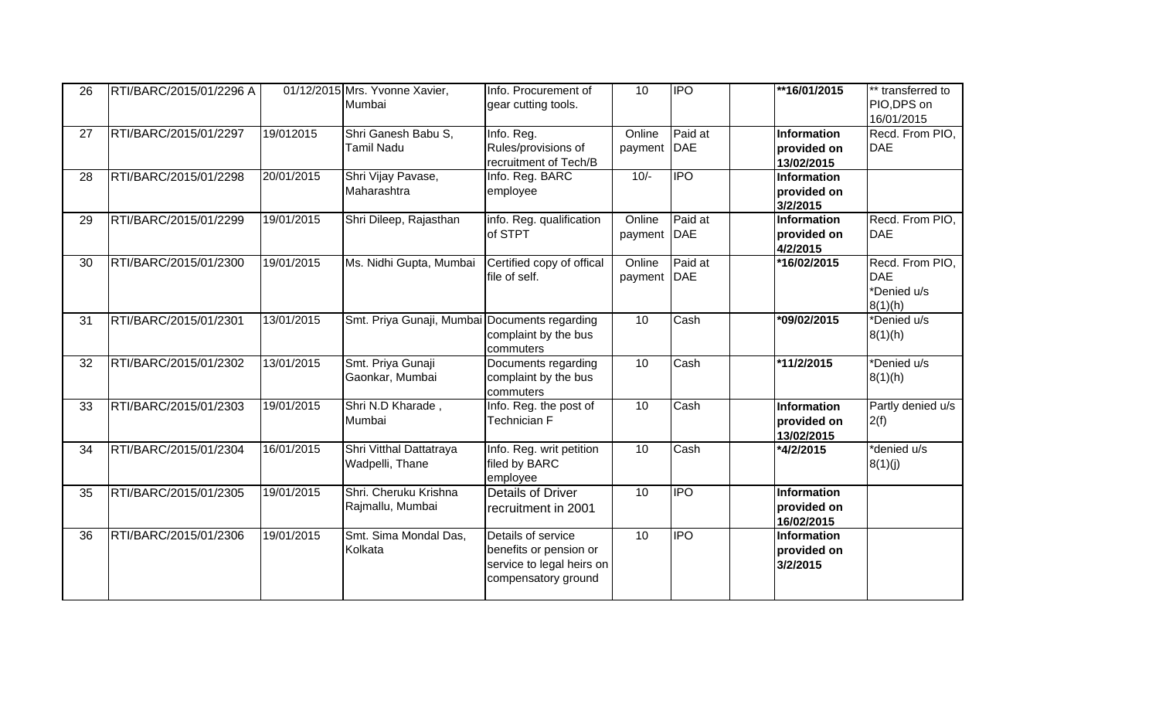| 26 | RTI/BARC/2015/01/2296 A |            | 01/12/2015 Mrs. Yvonne Xavier,<br>Mumbai      | Info. Procurement of<br>gear cutting tools.                                                      | 10                | <b>IPO</b>            | **16/01/2015                             | ** transferred to<br>PIO, DPS on<br>16/01/2015          |
|----|-------------------------|------------|-----------------------------------------------|--------------------------------------------------------------------------------------------------|-------------------|-----------------------|------------------------------------------|---------------------------------------------------------|
| 27 | RTI/BARC/2015/01/2297   | 19/012015  | Shri Ganesh Babu S,<br><b>Tamil Nadu</b>      | Info. Reg.<br>Rules/provisions of<br>recruitment of Tech/B                                       | Online<br>payment | Paid at<br><b>DAE</b> | Information<br>provided on<br>13/02/2015 | Recd. From PIO,<br><b>DAE</b>                           |
| 28 | RTI/BARC/2015/01/2298   | 20/01/2015 | Shri Vijay Pavase,<br>Maharashtra             | Info. Reg. BARC<br>employee                                                                      | $10/-$            | $\overline{P}$        | Information<br>provided on<br>3/2/2015   |                                                         |
| 29 | RTI/BARC/2015/01/2299   | 19/01/2015 | Shri Dileep, Rajasthan                        | info. Reg. qualification<br>of STPT                                                              | Online<br>payment | Paid at<br><b>DAE</b> | Information<br>provided on<br>4/2/2015   | Recd. From PIO,<br><b>DAE</b>                           |
| 30 | RTI/BARC/2015/01/2300   | 19/01/2015 | Ms. Nidhi Gupta, Mumbai                       | Certified copy of offical<br>file of self.                                                       | Online<br>payment | Paid at<br>DAE        | *16/02/2015                              | Recd. From PIO,<br><b>DAE</b><br>*Denied u/s<br>8(1)(h) |
| 31 | RTI/BARC/2015/01/2301   | 13/01/2015 | Smt. Priya Gunaji, Mumbai Documents regarding | complaint by the bus<br>commuters                                                                | 10                | Cash                  | *09/02/2015                              | *Denied u/s<br>8(1)(h)                                  |
| 32 | RTI/BARC/2015/01/2302   | 13/01/2015 | Smt. Priya Gunaji<br>Gaonkar, Mumbai          | Documents regarding<br>complaint by the bus<br>commuters                                         | 10                | Cash                  | *11/2/2015                               | *Denied u/s<br>8(1)(h)                                  |
| 33 | RTI/BARC/2015/01/2303   | 19/01/2015 | Shri N.D Kharade,<br>Mumbai                   | Info. Reg. the post of<br>Technician F                                                           | 10                | Cash                  | Information<br>provided on<br>13/02/2015 | Partly denied u/s<br>2(f)                               |
| 34 | RTI/BARC/2015/01/2304   | 16/01/2015 | Shri Vitthal Dattatraya<br>Wadpelli, Thane    | Info. Reg. writ petition<br>filed by BARC<br>employee                                            | 10                | Cash                  | *4/2/2015                                | *denied u/s<br>8(1)(j)                                  |
| 35 | RTI/BARC/2015/01/2305   | 19/01/2015 | Shri. Cheruku Krishna<br>Rajmallu, Mumbai     | <b>Details of Driver</b><br>recruitment in 2001                                                  | 10                | <b>IPO</b>            | Information<br>provided on<br>16/02/2015 |                                                         |
| 36 | RTI/BARC/2015/01/2306   | 19/01/2015 | Smt. Sima Mondal Das,<br>Kolkata              | Details of service<br>benefits or pension or<br>service to legal heirs on<br>compensatory ground | 10                | <b>IPO</b>            | Information<br>provided on<br>3/2/2015   |                                                         |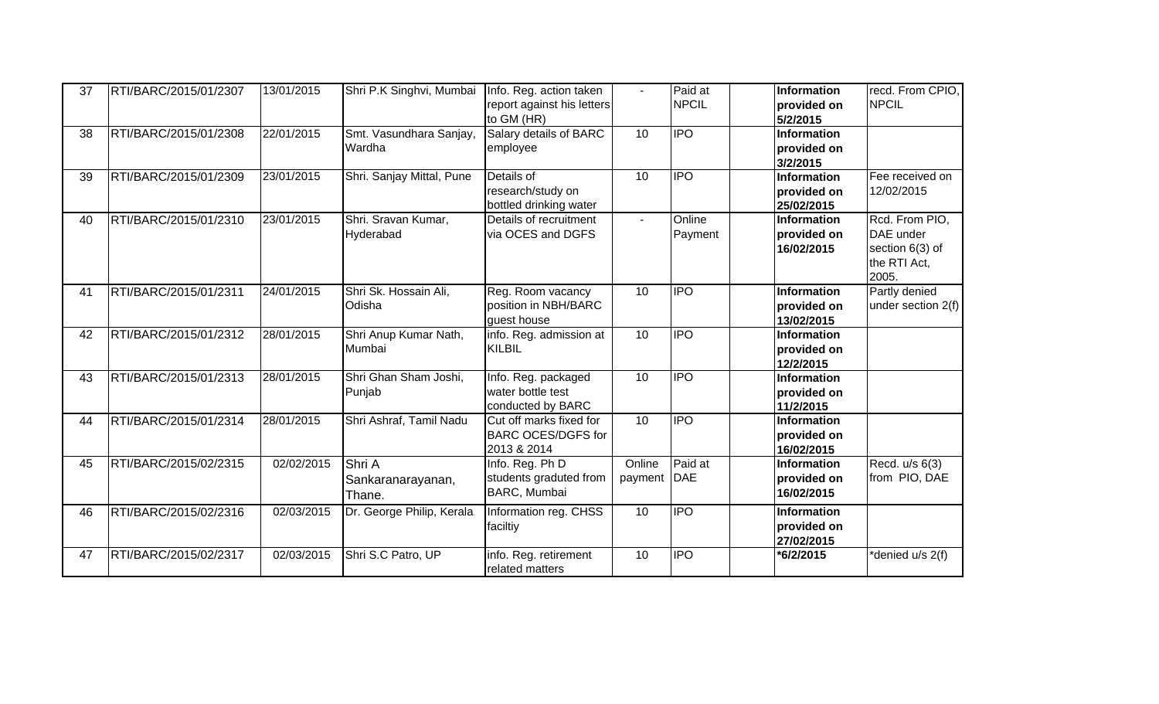| 37 | RTI/BARC/2015/01/2307 | 13/01/2015 | Shri P.K Singhvi, Mumbai        | Info. Reg. action taken                          | $\sim$            | Paid at               | Information                       | recd. From CPIO,                |
|----|-----------------------|------------|---------------------------------|--------------------------------------------------|-------------------|-----------------------|-----------------------------------|---------------------------------|
|    |                       |            |                                 | report against his letters<br>to GM (HR)         |                   | <b>NPCIL</b>          | provided on                       | <b>NPCIL</b>                    |
| 38 | RTI/BARC/2015/01/2308 | 22/01/2015 | Smt. Vasundhara Sanjay,         | Salary details of BARC                           | 10 <sup>1</sup>   | <b>IPO</b>            | 5/2/2015<br><b>Information</b>    |                                 |
|    |                       |            | Wardha                          | employee                                         |                   |                       | provided on                       |                                 |
|    |                       |            |                                 |                                                  |                   |                       | 3/2/2015                          |                                 |
| 39 | RTI/BARC/2015/01/2309 | 23/01/2015 | Shri. Sanjay Mittal, Pune       | Details of                                       | 10                | <b>IPO</b>            | <b>Information</b>                | Fee received on                 |
|    |                       |            |                                 | research/study on                                |                   |                       | provided on                       | 12/02/2015                      |
| 40 | RTI/BARC/2015/01/2310 | 23/01/2015 | Shri. Sravan Kumar,             | bottled drinking water<br>Details of recruitment | $\sim$            | Online                | 25/02/2015<br>Information         | Rcd. From PIO,                  |
|    |                       |            | Hyderabad                       | via OCES and DGFS                                |                   | Payment               | provided on                       | DAE under                       |
|    |                       |            |                                 |                                                  |                   |                       | 16/02/2015                        | section 6(3) of                 |
|    |                       |            |                                 |                                                  |                   |                       |                                   | the RTI Act,                    |
|    |                       |            |                                 |                                                  |                   |                       |                                   | 2005.                           |
| 41 | RTI/BARC/2015/01/2311 | 24/01/2015 | Shri Sk. Hossain Ali,           | Reg. Room vacancy                                | 10                | <b>IPO</b>            | Information                       | Partly denied                   |
|    |                       |            | Odisha                          | position in NBH/BARC                             |                   |                       | provided on                       | under section $2(f)$            |
|    |                       |            |                                 | guest house                                      |                   |                       | 13/02/2015                        |                                 |
| 42 | RTI/BARC/2015/01/2312 | 28/01/2015 | Shri Anup Kumar Nath,<br>Mumbai | info. Reg. admission at<br><b>KILBIL</b>         | 10                | <b>IPO</b>            | Information                       |                                 |
|    |                       |            |                                 |                                                  |                   |                       | provided on<br>12/2/2015          |                                 |
| 43 | RTI/BARC/2015/01/2313 | 28/01/2015 | Shri Ghan Sham Joshi,           | Info. Reg. packaged                              | 10                | <b>IPO</b>            | Information                       |                                 |
|    |                       |            | Punjab                          | water bottle test                                |                   |                       | provided on                       |                                 |
|    |                       |            |                                 | conducted by BARC                                |                   |                       | 11/2/2015                         |                                 |
| 44 | RTI/BARC/2015/01/2314 | 28/01/2015 | Shri Ashraf, Tamil Nadu         | Cut off marks fixed for                          | 10                | <b>IPO</b>            | Information                       |                                 |
|    |                       |            |                                 | <b>BARC OCES/DGFS for</b>                        |                   |                       | provided on                       |                                 |
|    |                       |            |                                 | 2013 & 2014                                      |                   |                       | 16/02/2015                        |                                 |
| 45 | RTI/BARC/2015/02/2315 | 02/02/2015 | Shri A                          | Info. Reg. Ph D<br>students graduted from        | Online<br>payment | Paid at<br><b>DAE</b> | <b>Information</b><br>provided on | Recd. u/s 6(3)<br>from PIO, DAE |
|    |                       |            | Sankaranarayanan,               | BARC, Mumbai                                     |                   |                       | 16/02/2015                        |                                 |
|    |                       |            | Thane.                          |                                                  |                   | <b>IPO</b>            |                                   |                                 |
| 46 | RTI/BARC/2015/02/2316 | 02/03/2015 | Dr. George Philip, Kerala       | Information reg. CHSS<br>faciltiy                | 10                |                       | Information<br>provided on        |                                 |
|    |                       |            |                                 |                                                  |                   |                       | 27/02/2015                        |                                 |
| 47 | RTI/BARC/2015/02/2317 | 02/03/2015 | Shri S.C Patro, UP              | info. Reg. retirement                            | 10                | <b>IPO</b>            | *6/2/2015                         | denied u/s 2(f)                 |
|    |                       |            |                                 | related matters                                  |                   |                       |                                   |                                 |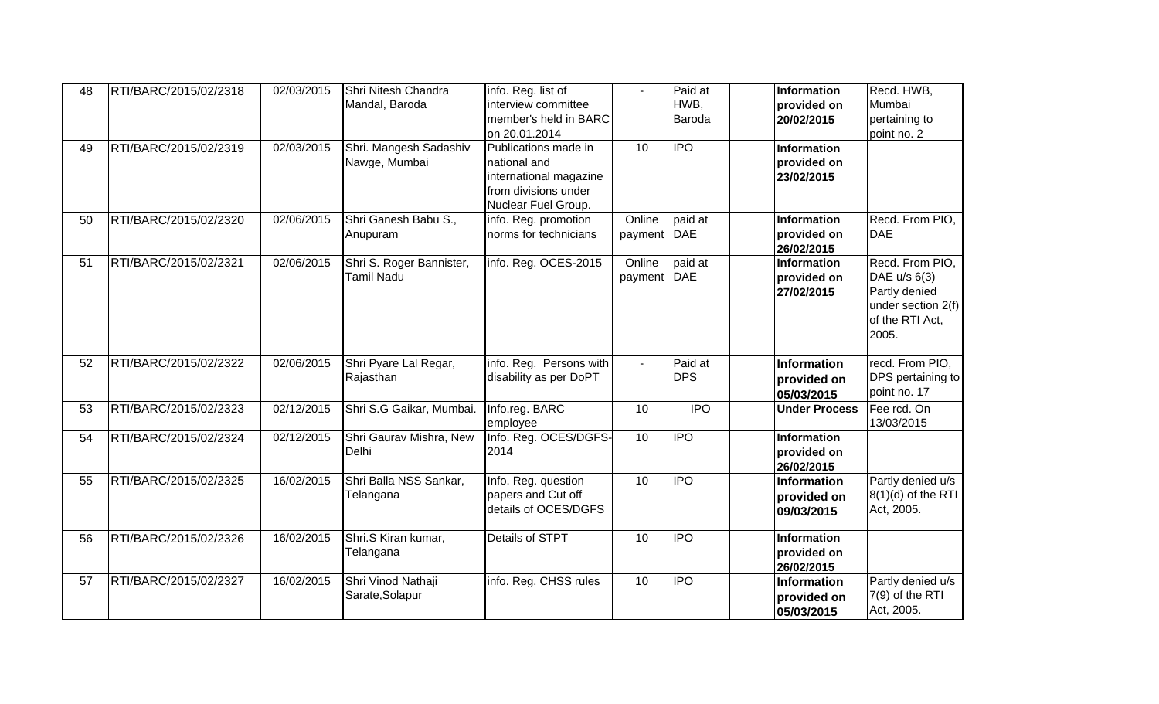| interview committee<br>HWB,<br>Mumbai<br>Mandal, Baroda<br>provided on<br>member's held in BARC<br>Baroda<br>pertaining to<br>20/02/2015<br>on 20.01.2014<br>point no. 2<br><b>IPO</b><br>02/03/2015<br>10<br>RTI/BARC/2015/02/2319<br>Shri. Mangesh Sadashiv<br>Publications made in<br>Information<br>49<br>Nawge, Mumbai<br>provided on<br>national and<br>international magazine<br>23/02/2015<br>from divisions under<br>Nuclear Fuel Group.<br>Online<br>paid at<br>RTI/BARC/2015/02/2320<br>02/06/2015<br>Shri Ganesh Babu S.,<br>info. Reg. promotion<br>Information<br>50<br>norms for technicians<br><b>DAE</b><br><b>DAE</b><br>provided on<br>payment<br>Anupuram<br>26/02/2015<br>info. Reg. OCES-2015<br>paid at<br>RTI/BARC/2015/02/2321<br>02/06/2015<br>Shri S. Roger Bannister,<br>Online<br>Information<br>51<br><b>DAE</b><br>Tamil Nadu<br>DAE $u/s$ 6(3)<br>payment<br>provided on<br>Partly denied<br>27/02/2015<br>of the RTI Act,<br>2005.<br>info. Reg. Persons with<br>Paid at<br>RTI/BARC/2015/02/2322<br>02/06/2015<br>Shri Pyare Lal Regar,<br>recd. From PIO,<br>52<br>Information<br>$\mathbf{r}$<br>disability as per DoPT<br><b>DPS</b><br>Rajasthan<br>provided on<br>point no. 17<br>05/03/2015<br>Info.reg. BARC<br>$\overline{IPO}$<br>Fee rcd. On<br>02/12/2015<br>Shri S.G Gaikar, Mumbai.<br>10<br>RTI/BARC/2015/02/2323<br><b>Under Process</b><br>53<br>13/03/2015<br>employee<br>Info. Reg. OCES/DGFS-<br><b>Information</b><br>RTI/BARC/2015/02/2324<br>02/12/2015<br>Shri Gaurav Mishra, New<br>10<br><b>IPO</b><br>54<br>Delhi<br>2014<br>provided on<br>26/02/2015<br><b>IPO</b><br>RTI/BARC/2015/02/2325<br>16/02/2015<br>Shri Balla NSS Sankar,<br>Info. Reg. question<br>10<br>55<br>Information<br>papers and Cut off<br>Telangana<br>provided on<br>details of OCES/DGFS<br>Act, 2005.<br>09/03/2015<br><b>Information</b><br>RTI/BARC/2015/02/2326<br>16/02/2015<br>Shri.S Kiran kumar,<br>Details of STPT<br>10<br><b>IPO</b><br>56<br>provided on<br>Telangana<br>26/02/2015 | 48 | RTI/BARC/2015/02/2318 | 02/03/2015 | Shri Nitesh Chandra | info. Reg. list of | $\sim$ | Paid at | Information | Recd. HWB,           |
|--------------------------------------------------------------------------------------------------------------------------------------------------------------------------------------------------------------------------------------------------------------------------------------------------------------------------------------------------------------------------------------------------------------------------------------------------------------------------------------------------------------------------------------------------------------------------------------------------------------------------------------------------------------------------------------------------------------------------------------------------------------------------------------------------------------------------------------------------------------------------------------------------------------------------------------------------------------------------------------------------------------------------------------------------------------------------------------------------------------------------------------------------------------------------------------------------------------------------------------------------------------------------------------------------------------------------------------------------------------------------------------------------------------------------------------------------------------------------------------------------------------------------------------------------------------------------------------------------------------------------------------------------------------------------------------------------------------------------------------------------------------------------------------------------------------------------------------------------------------------------------------------------------------------------------------------------------------------------------------------------------------------------------------|----|-----------------------|------------|---------------------|--------------------|--------|---------|-------------|----------------------|
|                                                                                                                                                                                                                                                                                                                                                                                                                                                                                                                                                                                                                                                                                                                                                                                                                                                                                                                                                                                                                                                                                                                                                                                                                                                                                                                                                                                                                                                                                                                                                                                                                                                                                                                                                                                                                                                                                                                                                                                                                                      |    |                       |            |                     |                    |        |         |             |                      |
|                                                                                                                                                                                                                                                                                                                                                                                                                                                                                                                                                                                                                                                                                                                                                                                                                                                                                                                                                                                                                                                                                                                                                                                                                                                                                                                                                                                                                                                                                                                                                                                                                                                                                                                                                                                                                                                                                                                                                                                                                                      |    |                       |            |                     |                    |        |         |             |                      |
|                                                                                                                                                                                                                                                                                                                                                                                                                                                                                                                                                                                                                                                                                                                                                                                                                                                                                                                                                                                                                                                                                                                                                                                                                                                                                                                                                                                                                                                                                                                                                                                                                                                                                                                                                                                                                                                                                                                                                                                                                                      |    |                       |            |                     |                    |        |         |             |                      |
|                                                                                                                                                                                                                                                                                                                                                                                                                                                                                                                                                                                                                                                                                                                                                                                                                                                                                                                                                                                                                                                                                                                                                                                                                                                                                                                                                                                                                                                                                                                                                                                                                                                                                                                                                                                                                                                                                                                                                                                                                                      |    |                       |            |                     |                    |        |         |             |                      |
|                                                                                                                                                                                                                                                                                                                                                                                                                                                                                                                                                                                                                                                                                                                                                                                                                                                                                                                                                                                                                                                                                                                                                                                                                                                                                                                                                                                                                                                                                                                                                                                                                                                                                                                                                                                                                                                                                                                                                                                                                                      |    |                       |            |                     |                    |        |         |             |                      |
|                                                                                                                                                                                                                                                                                                                                                                                                                                                                                                                                                                                                                                                                                                                                                                                                                                                                                                                                                                                                                                                                                                                                                                                                                                                                                                                                                                                                                                                                                                                                                                                                                                                                                                                                                                                                                                                                                                                                                                                                                                      |    |                       |            |                     |                    |        |         |             |                      |
|                                                                                                                                                                                                                                                                                                                                                                                                                                                                                                                                                                                                                                                                                                                                                                                                                                                                                                                                                                                                                                                                                                                                                                                                                                                                                                                                                                                                                                                                                                                                                                                                                                                                                                                                                                                                                                                                                                                                                                                                                                      |    |                       |            |                     |                    |        |         |             |                      |
|                                                                                                                                                                                                                                                                                                                                                                                                                                                                                                                                                                                                                                                                                                                                                                                                                                                                                                                                                                                                                                                                                                                                                                                                                                                                                                                                                                                                                                                                                                                                                                                                                                                                                                                                                                                                                                                                                                                                                                                                                                      |    |                       |            |                     |                    |        |         |             |                      |
|                                                                                                                                                                                                                                                                                                                                                                                                                                                                                                                                                                                                                                                                                                                                                                                                                                                                                                                                                                                                                                                                                                                                                                                                                                                                                                                                                                                                                                                                                                                                                                                                                                                                                                                                                                                                                                                                                                                                                                                                                                      |    |                       |            |                     |                    |        |         |             | Recd. From PIO,      |
|                                                                                                                                                                                                                                                                                                                                                                                                                                                                                                                                                                                                                                                                                                                                                                                                                                                                                                                                                                                                                                                                                                                                                                                                                                                                                                                                                                                                                                                                                                                                                                                                                                                                                                                                                                                                                                                                                                                                                                                                                                      |    |                       |            |                     |                    |        |         |             |                      |
|                                                                                                                                                                                                                                                                                                                                                                                                                                                                                                                                                                                                                                                                                                                                                                                                                                                                                                                                                                                                                                                                                                                                                                                                                                                                                                                                                                                                                                                                                                                                                                                                                                                                                                                                                                                                                                                                                                                                                                                                                                      |    |                       |            |                     |                    |        |         |             |                      |
|                                                                                                                                                                                                                                                                                                                                                                                                                                                                                                                                                                                                                                                                                                                                                                                                                                                                                                                                                                                                                                                                                                                                                                                                                                                                                                                                                                                                                                                                                                                                                                                                                                                                                                                                                                                                                                                                                                                                                                                                                                      |    |                       |            |                     |                    |        |         |             | Recd. From PIO,      |
|                                                                                                                                                                                                                                                                                                                                                                                                                                                                                                                                                                                                                                                                                                                                                                                                                                                                                                                                                                                                                                                                                                                                                                                                                                                                                                                                                                                                                                                                                                                                                                                                                                                                                                                                                                                                                                                                                                                                                                                                                                      |    |                       |            |                     |                    |        |         |             |                      |
|                                                                                                                                                                                                                                                                                                                                                                                                                                                                                                                                                                                                                                                                                                                                                                                                                                                                                                                                                                                                                                                                                                                                                                                                                                                                                                                                                                                                                                                                                                                                                                                                                                                                                                                                                                                                                                                                                                                                                                                                                                      |    |                       |            |                     |                    |        |         |             |                      |
|                                                                                                                                                                                                                                                                                                                                                                                                                                                                                                                                                                                                                                                                                                                                                                                                                                                                                                                                                                                                                                                                                                                                                                                                                                                                                                                                                                                                                                                                                                                                                                                                                                                                                                                                                                                                                                                                                                                                                                                                                                      |    |                       |            |                     |                    |        |         |             | under section 2(f)   |
|                                                                                                                                                                                                                                                                                                                                                                                                                                                                                                                                                                                                                                                                                                                                                                                                                                                                                                                                                                                                                                                                                                                                                                                                                                                                                                                                                                                                                                                                                                                                                                                                                                                                                                                                                                                                                                                                                                                                                                                                                                      |    |                       |            |                     |                    |        |         |             |                      |
|                                                                                                                                                                                                                                                                                                                                                                                                                                                                                                                                                                                                                                                                                                                                                                                                                                                                                                                                                                                                                                                                                                                                                                                                                                                                                                                                                                                                                                                                                                                                                                                                                                                                                                                                                                                                                                                                                                                                                                                                                                      |    |                       |            |                     |                    |        |         |             |                      |
|                                                                                                                                                                                                                                                                                                                                                                                                                                                                                                                                                                                                                                                                                                                                                                                                                                                                                                                                                                                                                                                                                                                                                                                                                                                                                                                                                                                                                                                                                                                                                                                                                                                                                                                                                                                                                                                                                                                                                                                                                                      |    |                       |            |                     |                    |        |         |             |                      |
|                                                                                                                                                                                                                                                                                                                                                                                                                                                                                                                                                                                                                                                                                                                                                                                                                                                                                                                                                                                                                                                                                                                                                                                                                                                                                                                                                                                                                                                                                                                                                                                                                                                                                                                                                                                                                                                                                                                                                                                                                                      |    |                       |            |                     |                    |        |         |             |                      |
|                                                                                                                                                                                                                                                                                                                                                                                                                                                                                                                                                                                                                                                                                                                                                                                                                                                                                                                                                                                                                                                                                                                                                                                                                                                                                                                                                                                                                                                                                                                                                                                                                                                                                                                                                                                                                                                                                                                                                                                                                                      |    |                       |            |                     |                    |        |         |             | DPS pertaining to    |
|                                                                                                                                                                                                                                                                                                                                                                                                                                                                                                                                                                                                                                                                                                                                                                                                                                                                                                                                                                                                                                                                                                                                                                                                                                                                                                                                                                                                                                                                                                                                                                                                                                                                                                                                                                                                                                                                                                                                                                                                                                      |    |                       |            |                     |                    |        |         |             |                      |
|                                                                                                                                                                                                                                                                                                                                                                                                                                                                                                                                                                                                                                                                                                                                                                                                                                                                                                                                                                                                                                                                                                                                                                                                                                                                                                                                                                                                                                                                                                                                                                                                                                                                                                                                                                                                                                                                                                                                                                                                                                      |    |                       |            |                     |                    |        |         |             |                      |
|                                                                                                                                                                                                                                                                                                                                                                                                                                                                                                                                                                                                                                                                                                                                                                                                                                                                                                                                                                                                                                                                                                                                                                                                                                                                                                                                                                                                                                                                                                                                                                                                                                                                                                                                                                                                                                                                                                                                                                                                                                      |    |                       |            |                     |                    |        |         |             |                      |
|                                                                                                                                                                                                                                                                                                                                                                                                                                                                                                                                                                                                                                                                                                                                                                                                                                                                                                                                                                                                                                                                                                                                                                                                                                                                                                                                                                                                                                                                                                                                                                                                                                                                                                                                                                                                                                                                                                                                                                                                                                      |    |                       |            |                     |                    |        |         |             |                      |
|                                                                                                                                                                                                                                                                                                                                                                                                                                                                                                                                                                                                                                                                                                                                                                                                                                                                                                                                                                                                                                                                                                                                                                                                                                                                                                                                                                                                                                                                                                                                                                                                                                                                                                                                                                                                                                                                                                                                                                                                                                      |    |                       |            |                     |                    |        |         |             |                      |
|                                                                                                                                                                                                                                                                                                                                                                                                                                                                                                                                                                                                                                                                                                                                                                                                                                                                                                                                                                                                                                                                                                                                                                                                                                                                                                                                                                                                                                                                                                                                                                                                                                                                                                                                                                                                                                                                                                                                                                                                                                      |    |                       |            |                     |                    |        |         |             |                      |
|                                                                                                                                                                                                                                                                                                                                                                                                                                                                                                                                                                                                                                                                                                                                                                                                                                                                                                                                                                                                                                                                                                                                                                                                                                                                                                                                                                                                                                                                                                                                                                                                                                                                                                                                                                                                                                                                                                                                                                                                                                      |    |                       |            |                     |                    |        |         |             | Partly denied u/s    |
|                                                                                                                                                                                                                                                                                                                                                                                                                                                                                                                                                                                                                                                                                                                                                                                                                                                                                                                                                                                                                                                                                                                                                                                                                                                                                                                                                                                                                                                                                                                                                                                                                                                                                                                                                                                                                                                                                                                                                                                                                                      |    |                       |            |                     |                    |        |         |             | $8(1)(d)$ of the RTI |
|                                                                                                                                                                                                                                                                                                                                                                                                                                                                                                                                                                                                                                                                                                                                                                                                                                                                                                                                                                                                                                                                                                                                                                                                                                                                                                                                                                                                                                                                                                                                                                                                                                                                                                                                                                                                                                                                                                                                                                                                                                      |    |                       |            |                     |                    |        |         |             |                      |
|                                                                                                                                                                                                                                                                                                                                                                                                                                                                                                                                                                                                                                                                                                                                                                                                                                                                                                                                                                                                                                                                                                                                                                                                                                                                                                                                                                                                                                                                                                                                                                                                                                                                                                                                                                                                                                                                                                                                                                                                                                      |    |                       |            |                     |                    |        |         |             |                      |
|                                                                                                                                                                                                                                                                                                                                                                                                                                                                                                                                                                                                                                                                                                                                                                                                                                                                                                                                                                                                                                                                                                                                                                                                                                                                                                                                                                                                                                                                                                                                                                                                                                                                                                                                                                                                                                                                                                                                                                                                                                      |    |                       |            |                     |                    |        |         |             |                      |
|                                                                                                                                                                                                                                                                                                                                                                                                                                                                                                                                                                                                                                                                                                                                                                                                                                                                                                                                                                                                                                                                                                                                                                                                                                                                                                                                                                                                                                                                                                                                                                                                                                                                                                                                                                                                                                                                                                                                                                                                                                      |    |                       |            |                     |                    |        |         |             |                      |
|                                                                                                                                                                                                                                                                                                                                                                                                                                                                                                                                                                                                                                                                                                                                                                                                                                                                                                                                                                                                                                                                                                                                                                                                                                                                                                                                                                                                                                                                                                                                                                                                                                                                                                                                                                                                                                                                                                                                                                                                                                      |    |                       |            |                     |                    |        |         |             |                      |
| RTI/BARC/2015/02/2327<br>16/02/2015<br>Shri Vinod Nathaji<br>info. Reg. CHSS rules<br>10<br><b>IPO</b><br>Information<br>57                                                                                                                                                                                                                                                                                                                                                                                                                                                                                                                                                                                                                                                                                                                                                                                                                                                                                                                                                                                                                                                                                                                                                                                                                                                                                                                                                                                                                                                                                                                                                                                                                                                                                                                                                                                                                                                                                                          |    |                       |            |                     |                    |        |         |             | Partly denied u/s    |
| $7(9)$ of the RTI<br>Sarate, Solapur<br>provided on                                                                                                                                                                                                                                                                                                                                                                                                                                                                                                                                                                                                                                                                                                                                                                                                                                                                                                                                                                                                                                                                                                                                                                                                                                                                                                                                                                                                                                                                                                                                                                                                                                                                                                                                                                                                                                                                                                                                                                                  |    |                       |            |                     |                    |        |         |             |                      |
| Act, 2005.<br>05/03/2015                                                                                                                                                                                                                                                                                                                                                                                                                                                                                                                                                                                                                                                                                                                                                                                                                                                                                                                                                                                                                                                                                                                                                                                                                                                                                                                                                                                                                                                                                                                                                                                                                                                                                                                                                                                                                                                                                                                                                                                                             |    |                       |            |                     |                    |        |         |             |                      |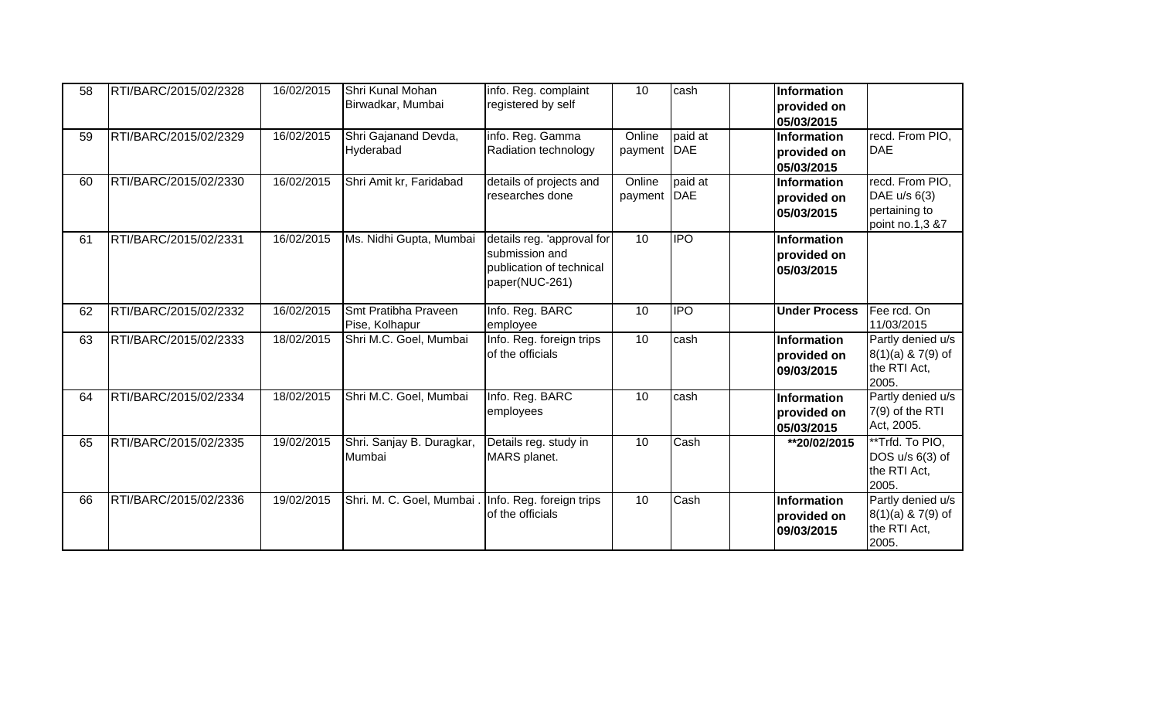| 58 | RTI/BARC/2015/02/2328 | 16/02/2015 | Shri Kunal Mohan<br>Birwadkar, Mumbai               | info. Reg. complaint<br>registered by self                                                 | 10                | cash                  | <b>Information</b><br>provided on<br>05/03/2015 |                                                                     |
|----|-----------------------|------------|-----------------------------------------------------|--------------------------------------------------------------------------------------------|-------------------|-----------------------|-------------------------------------------------|---------------------------------------------------------------------|
| 59 | RTI/BARC/2015/02/2329 | 16/02/2015 | Shri Gajanand Devda,<br>Hyderabad                   | info. Reg. Gamma<br>Radiation technology                                                   | Online<br>payment | paid at<br><b>DAE</b> | Information<br>provided on<br>05/03/2015        | recd. From PIO.<br><b>DAE</b>                                       |
| 60 | RTI/BARC/2015/02/2330 | 16/02/2015 | Shri Amit kr, Faridabad                             | details of projects and<br>researches done                                                 | Online<br>payment | paid at<br><b>DAE</b> | Information<br>provided on<br>05/03/2015        | recd. From PIO,<br>DAE u/s 6(3)<br>pertaining to<br>point no.1,3 &7 |
| 61 | RTI/BARC/2015/02/2331 | 16/02/2015 | Ms. Nidhi Gupta, Mumbai                             | details reg. 'approval for<br>submission and<br>publication of technical<br>paper(NUC-261) | 10                | <b>IPO</b>            | Information<br>provided on<br>05/03/2015        |                                                                     |
| 62 | RTI/BARC/2015/02/2332 | 16/02/2015 | Smt Pratibha Praveen<br>Pise, Kolhapur              | Info. Reg. BARC<br>employee                                                                | 10                | <b>IPO</b>            | <b>Under Process</b>                            | Fee rcd. On<br>11/03/2015                                           |
| 63 | RTI/BARC/2015/02/2333 | 18/02/2015 | Shri M.C. Goel, Mumbai                              | Info. Reg. foreign trips<br>of the officials                                               | 10                | cash                  | Information<br>provided on<br>09/03/2015        | Partly denied u/s<br>$8(1)(a)$ & 7(9) of<br>the RTI Act,<br>2005.   |
| 64 | RTI/BARC/2015/02/2334 | 18/02/2015 | Shri M.C. Goel, Mumbai                              | Info. Reg. BARC<br>employees                                                               | 10                | cash                  | Information<br>provided on<br>05/03/2015        | Partly denied u/s<br>7(9) of the RTI<br>Act, 2005.                  |
| 65 | RTI/BARC/2015/02/2335 | 19/02/2015 | Shri. Sanjay B. Duragkar,<br>Mumbai                 | Details reg. study in<br>MARS planet.                                                      | 10                | Cash                  | **20/02/2015                                    | **Trfd. To PIO,<br>DOS u/s 6(3) of<br>the RTI Act,<br>2005.         |
| 66 | RTI/BARC/2015/02/2336 | 19/02/2015 | Shri. M. C. Goel, Mumbai . Info. Reg. foreign trips | of the officials                                                                           | 10                | Cash                  | Information<br>provided on<br>09/03/2015        | Partly denied u/s<br>$8(1)(a)$ & 7(9) of<br>the RTI Act,<br>2005.   |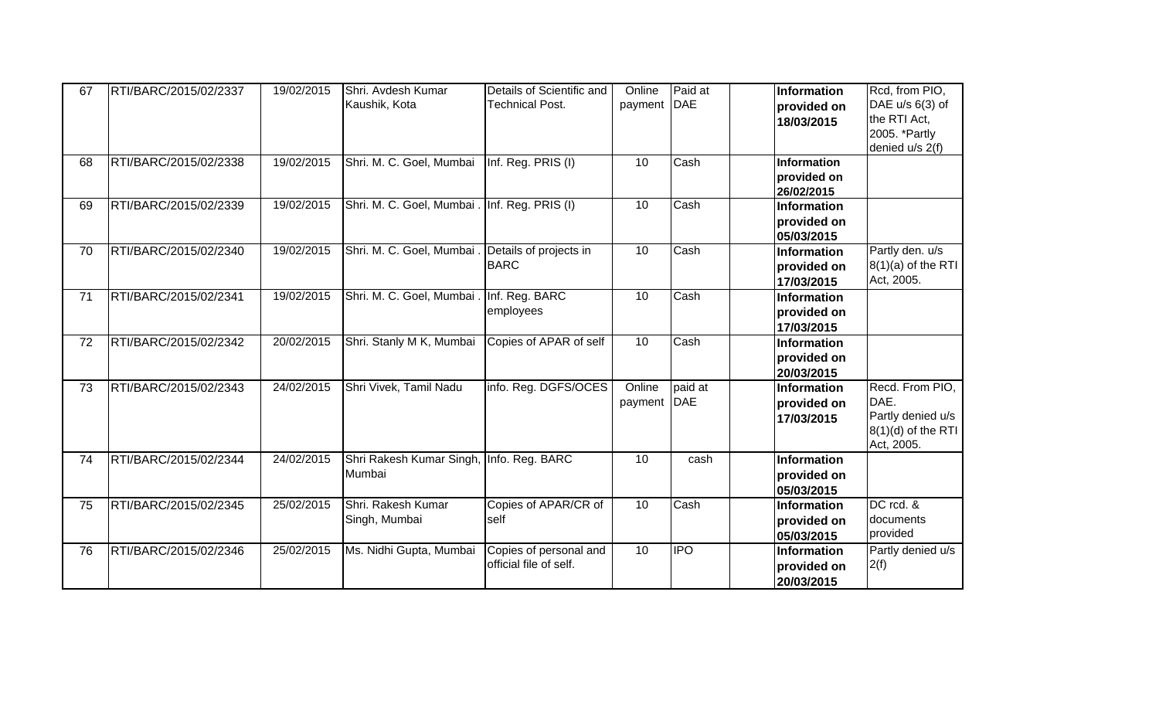| 67 | RTI/BARC/2015/02/2337 | 19/02/2015 | Shri. Avdesh Kumar<br>Kaushik, Kota                | Details of Scientific and<br><b>Technical Post.</b> | Online<br>payment     | Paid at<br>DAE | Information<br>provided on<br>18/03/2015        | Rcd, from PIO,<br>DAE u/s 6(3) of<br>the RTI Act,<br>2005. *Partly<br>denied u/s 2(f) |
|----|-----------------------|------------|----------------------------------------------------|-----------------------------------------------------|-----------------------|----------------|-------------------------------------------------|---------------------------------------------------------------------------------------|
| 68 | RTI/BARC/2015/02/2338 | 19/02/2015 | Shri. M. C. Goel, Mumbai                           | Inf. Reg. PRIS (I)                                  | 10                    | Cash           | Information<br>provided on<br>26/02/2015        |                                                                                       |
| 69 | RTI/BARC/2015/02/2339 | 19/02/2015 | Shri. M. C. Goel, Mumbai . Inf. Reg. PRIS (I)      |                                                     | 10                    | Cash           | <b>Information</b><br>provided on<br>05/03/2015 |                                                                                       |
| 70 | RTI/BARC/2015/02/2340 | 19/02/2015 | Shri. M. C. Goel, Mumbai . Details of projects in  | <b>BARC</b>                                         | 10                    | Cash           | Information<br>provided on<br>17/03/2015        | Partly den. u/s<br>$8(1)(a)$ of the RTI<br>Act, 2005.                                 |
| 71 | RTI/BARC/2015/02/2341 | 19/02/2015 | Shri. M. C. Goel, Mumbai . Inf. Reg. BARC          | employees                                           | 10                    | Cash           | Information<br>provided on<br>17/03/2015        |                                                                                       |
| 72 | RTI/BARC/2015/02/2342 | 20/02/2015 | Shri. Stanly M K, Mumbai                           | Copies of APAR of self                              | 10                    | Cash           | Information<br>provided on<br>20/03/2015        |                                                                                       |
| 73 | RTI/BARC/2015/02/2343 | 24/02/2015 | Shri Vivek, Tamil Nadu                             | info. Reg. DGFS/OCES                                | Online<br>payment DAE | paid at        | Information<br>provided on<br>17/03/2015        | Recd. From PIO,<br>DAE.<br>Partly denied u/s<br>$8(1)(d)$ of the RTI<br>Act, 2005.    |
| 74 | RTI/BARC/2015/02/2344 | 24/02/2015 | Shri Rakesh Kumar Singh, Info. Reg. BARC<br>Mumbai |                                                     | 10                    | cash           | Information<br>provided on<br>05/03/2015        |                                                                                       |
| 75 | RTI/BARC/2015/02/2345 | 25/02/2015 | Shri. Rakesh Kumar<br>Singh, Mumbai                | Copies of APAR/CR of<br>self                        | 10                    | Cash           | Information<br>provided on<br>05/03/2015        | DC rcd. &<br>documents<br>provided                                                    |
| 76 | RTI/BARC/2015/02/2346 | 25/02/2015 | Ms. Nidhi Gupta, Mumbai                            | Copies of personal and<br>official file of self.    | 10                    | <b>IPO</b>     | Information<br>provided on<br>20/03/2015        | Partly denied u/s<br>2(f)                                                             |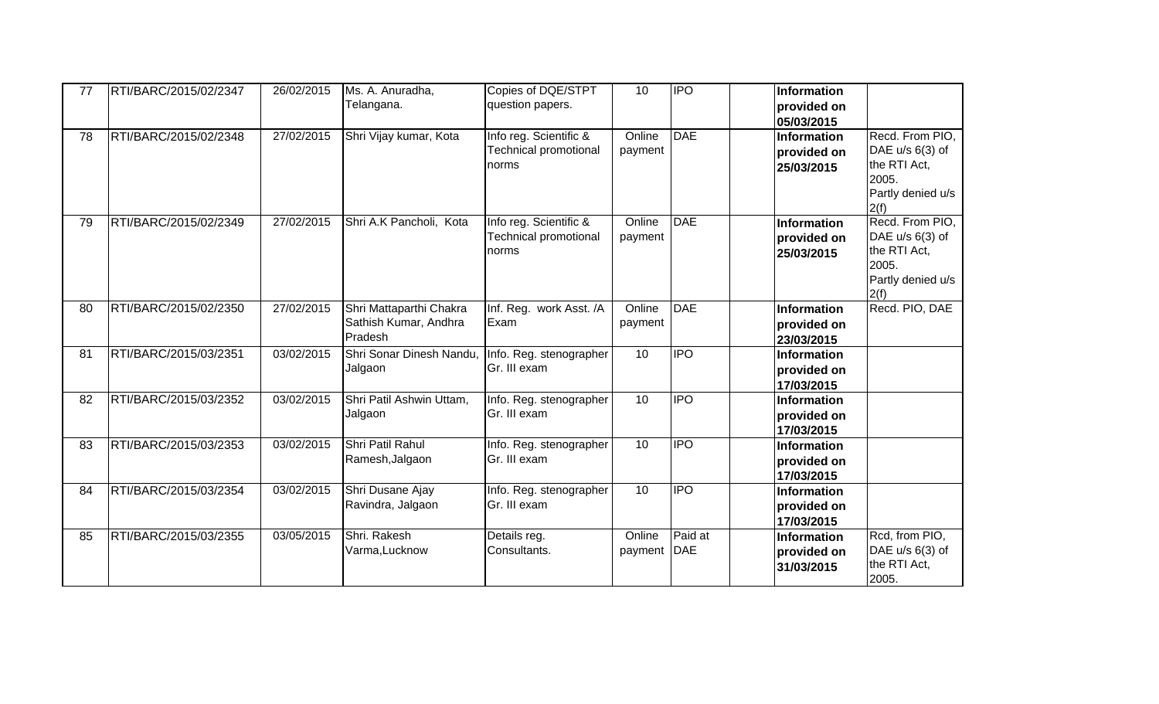| 77 | RTI/BARC/2015/02/2347 | 26/02/2015 | Ms. A. Anuradha,<br>Telangana.                              | Copies of DQE/STPT<br>question papers.                          | 10                | <b>IPO</b>            | Information<br>provided on<br>05/03/2015 |                                                                                          |
|----|-----------------------|------------|-------------------------------------------------------------|-----------------------------------------------------------------|-------------------|-----------------------|------------------------------------------|------------------------------------------------------------------------------------------|
| 78 | RTI/BARC/2015/02/2348 | 27/02/2015 | Shri Vijay kumar, Kota                                      | Info reg. Scientific &<br><b>Technical promotional</b><br>norms | Online<br>payment | <b>DAE</b>            | Information<br>provided on<br>25/03/2015 | Recd. From PIO,<br>DAE u/s 6(3) of<br>the RTI Act,<br>2005.<br>Partly denied u/s<br>2(f) |
| 79 | RTI/BARC/2015/02/2349 | 27/02/2015 | Shri A.K Pancholi, Kota                                     | Info reg. Scientific &<br><b>Technical promotional</b><br>norms | Online<br>payment | <b>DAE</b>            | Information<br>provided on<br>25/03/2015 | Recd. From PIO,<br>DAE u/s 6(3) of<br>the RTI Act,<br>2005.<br>Partly denied u/s<br>2(f) |
| 80 | RTI/BARC/2015/02/2350 | 27/02/2015 | Shri Mattaparthi Chakra<br>Sathish Kumar, Andhra<br>Pradesh | Inf. Reg. work Asst. /A<br>Exam                                 | Online<br>payment | <b>DAE</b>            | Information<br>provided on<br>23/03/2015 | Recd. PIO, DAE                                                                           |
| 81 | RTI/BARC/2015/03/2351 | 03/02/2015 | Shri Sonar Dinesh Nandu,<br>Jalgaon                         | Info. Reg. stenographer<br>Gr. III exam                         | 10                | <b>IPO</b>            | Information<br>provided on<br>17/03/2015 |                                                                                          |
| 82 | RTI/BARC/2015/03/2352 | 03/02/2015 | Shri Patil Ashwin Uttam,<br>Jalgaon                         | Info. Reg. stenographer<br>Gr. III exam                         | 10                | IPO                   | Information<br>provided on<br>17/03/2015 |                                                                                          |
| 83 | RTI/BARC/2015/03/2353 | 03/02/2015 | Shri Patil Rahul<br>Ramesh, Jalgaon                         | Info. Reg. stenographer<br>Gr. III exam                         | 10                | <b>IPO</b>            | Information<br>provided on<br>17/03/2015 |                                                                                          |
| 84 | RTI/BARC/2015/03/2354 | 03/02/2015 | Shri Dusane Ajay<br>Ravindra, Jalgaon                       | Info. Reg. stenographer<br>Gr. III exam                         | 10                | <b>IPO</b>            | Information<br>provided on<br>17/03/2015 |                                                                                          |
| 85 | RTI/BARC/2015/03/2355 | 03/05/2015 | Shri. Rakesh<br>Varma, Lucknow                              | Details reg.<br>Consultants.                                    | Online<br>payment | Paid at<br><b>DAE</b> | Information<br>provided on<br>31/03/2015 | Rcd, from PIO,<br>DAE u/s 6(3) of<br>the RTI Act,<br>2005.                               |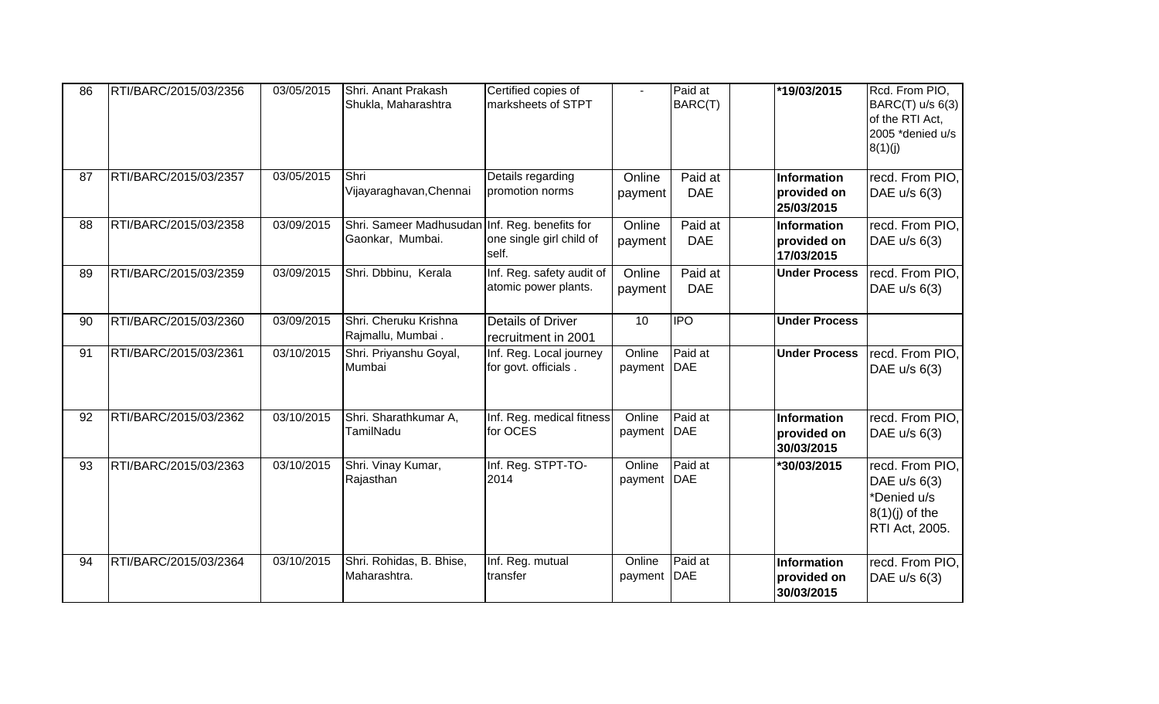| 86 | RTI/BARC/2015/03/2356 | 03/05/2015 | Shri. Anant Prakash<br>Shukla, Maharashtra                         | Certified copies of<br>marksheets of STPT         | $\blacksquare$          | Paid at<br>BARC(T)    | *19/03/2015                                     | Rcd. From PIO,<br>BARC(T) u/s 6(3)<br>of the RTI Act,<br>2005 *denied u/s<br>8(1)(j)          |
|----|-----------------------|------------|--------------------------------------------------------------------|---------------------------------------------------|-------------------------|-----------------------|-------------------------------------------------|-----------------------------------------------------------------------------------------------|
| 87 | RTI/BARC/2015/03/2357 | 03/05/2015 | Shri<br>Vijayaraghavan, Chennai                                    | Details regarding<br>promotion norms              | Online<br>payment       | Paid at<br><b>DAE</b> | Information<br>provided on<br>25/03/2015        | recd. From PIO,<br>DAE u/s 6(3)                                                               |
| 88 | RTI/BARC/2015/03/2358 | 03/09/2015 | Shri. Sameer Madhusudan Inf. Reg. benefits for<br>Gaonkar, Mumbai. | one single girl child of<br>self.                 | Online<br>payment       | Paid at<br><b>DAE</b> | Information<br>provided on<br>17/03/2015        | recd. From PIO,<br>DAE u/s 6(3)                                                               |
| 89 | RTI/BARC/2015/03/2359 | 03/09/2015 | Shri. Dbbinu, Kerala                                               | Inf. Reg. safety audit of<br>atomic power plants. | Online<br>payment       | Paid at<br><b>DAE</b> | <b>Under Process</b>                            | recd. From PIO,<br>DAE u/s 6(3)                                                               |
| 90 | RTI/BARC/2015/03/2360 | 03/09/2015 | Shri. Cheruku Krishna<br>Rajmallu, Mumbai.                         | <b>Details of Driver</b><br>recruitment in 2001   | 10                      | <b>IPO</b>            | <b>Under Process</b>                            |                                                                                               |
| 91 | RTI/BARC/2015/03/2361 | 03/10/2015 | Shri. Priyanshu Goyal,<br>Mumbai                                   | Inf. Reg. Local journey<br>for govt. officials.   | Online<br>payment DAE   | Paid at               | <b>Under Process</b>                            | recd. From PIO,<br>DAE u/s 6(3)                                                               |
| 92 | RTI/BARC/2015/03/2362 | 03/10/2015 | Shri. Sharathkumar A,<br>TamilNadu                                 | Inf. Reg. medical fitness<br>for OCES             | Online<br>payment   DAE | Paid at               | <b>Information</b><br>provided on<br>30/03/2015 | recd. From PIO,<br>DAE u/s 6(3)                                                               |
| 93 | RTI/BARC/2015/03/2363 | 03/10/2015 | Shri. Vinay Kumar,<br>Rajasthan                                    | Inf. Reg. STPT-TO-<br>2014                        | Online<br>payment DAE   | Paid at               | *30/03/2015                                     | recd. From PIO,<br>DAE $u/s$ 6(3)<br>*Denied u/s<br>$8(1)(j)$ of the<br><b>RTI Act, 2005.</b> |
| 94 | RTI/BARC/2015/03/2364 | 03/10/2015 | Shri. Rohidas, B. Bhise,<br>Maharashtra.                           | Inf. Reg. mutual<br>transfer                      | Online<br>payment   DAE | Paid at               | Information<br>provided on<br>30/03/2015        | recd. From PIO,<br>DAE u/s 6(3)                                                               |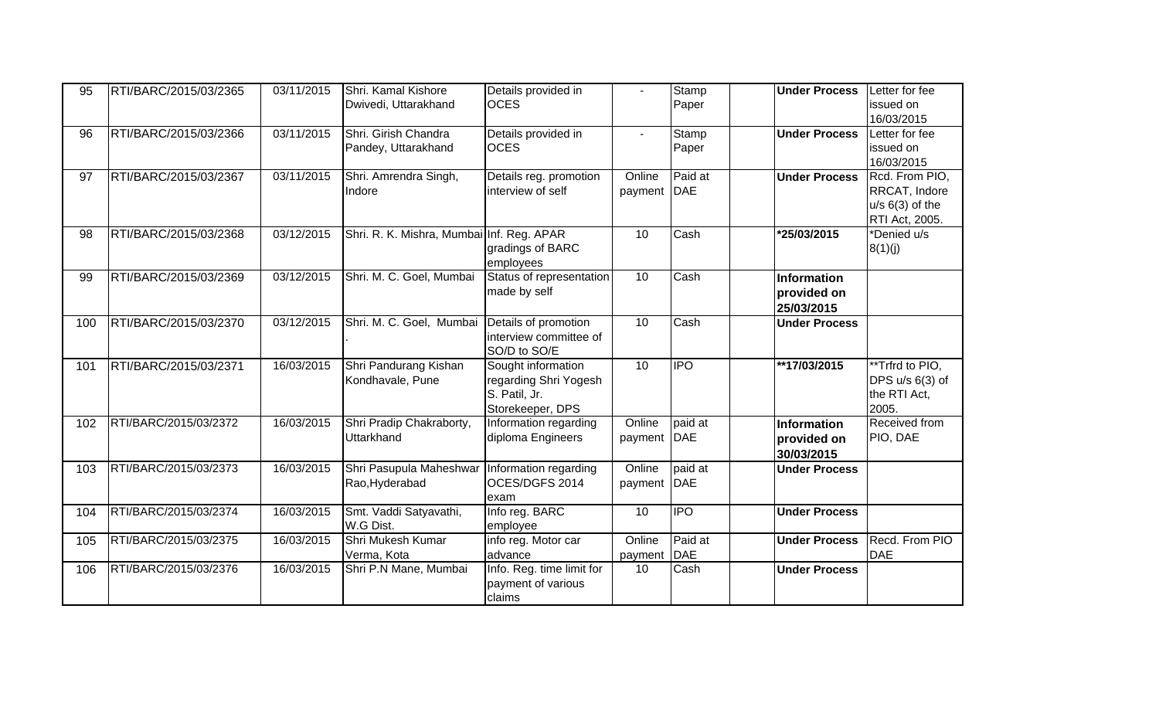| 95  | RTI/BARC/2015/03/2365 | 03/11/2015 | Shri. Kamal Kishore                             | Details provided in       |              | Stamp      | <b>Under Process</b> | Letter for fee    |
|-----|-----------------------|------------|-------------------------------------------------|---------------------------|--------------|------------|----------------------|-------------------|
|     |                       |            | Dwivedi, Uttarakhand                            | <b>OCES</b>               |              | Paper      |                      | issued on         |
|     |                       |            |                                                 |                           |              |            |                      | 16/03/2015        |
| 96  | RTI/BARC/2015/03/2366 | 03/11/2015 | Shri. Girish Chandra                            | Details provided in       | $\mathbf{r}$ | Stamp      | <b>Under Process</b> | Letter for fee    |
|     |                       |            | Pandey, Uttarakhand                             | <b>OCES</b>               |              | Paper      |                      | issued on         |
|     |                       |            |                                                 |                           |              |            |                      | 16/03/2015        |
| 97  | RTI/BARC/2015/03/2367 | 03/11/2015 | Shri. Amrendra Singh,                           | Details reg. promotion    | Online       | Paid at    | <b>Under Process</b> | Rcd. From PIO,    |
|     |                       |            | Indore                                          | interview of self         | payment      | <b>DAE</b> |                      | RRCAT, Indore     |
|     |                       |            |                                                 |                           |              |            |                      | $u/s$ 6(3) of the |
|     |                       |            |                                                 |                           |              |            |                      | RTI Act, 2005.    |
| 98  | RTI/BARC/2015/03/2368 | 03/12/2015 | Shri. R. K. Mishra, Mumbai Inf. Reg. APAR       |                           | 10           | Cash       | *25/03/2015          | *Denied u/s       |
|     |                       |            |                                                 | gradings of BARC          |              |            |                      | 8(1)(j)           |
|     |                       |            |                                                 | employees                 |              |            |                      |                   |
| 99  | RTI/BARC/2015/03/2369 | 03/12/2015 | Shri. M. C. Goel, Mumbai                        | Status of representation  | 10           | Cash       | <b>Information</b>   |                   |
|     |                       |            |                                                 | made by self              |              |            | provided on          |                   |
|     |                       |            |                                                 |                           |              |            | 25/03/2015           |                   |
| 100 | RTI/BARC/2015/03/2370 | 03/12/2015 | Shri. M. C. Goel, Mumbai                        | Details of promotion      | 10           | Cash       | <b>Under Process</b> |                   |
|     |                       |            |                                                 | interview committee of    |              |            |                      |                   |
|     |                       |            |                                                 | SO/D to SO/E              |              |            |                      |                   |
| 101 | RTI/BARC/2015/03/2371 | 16/03/2015 | Shri Pandurang Kishan                           | Sought information        | 10           | <b>IPO</b> | **17/03/2015         | **Trfrd to PIO,   |
|     |                       |            | Kondhavale, Pune                                | regarding Shri Yogesh     |              |            |                      | DPS u/s 6(3) of   |
|     |                       |            |                                                 | S. Patil, Jr.             |              |            |                      | the RTI Act,      |
|     |                       |            |                                                 | Storekeeper, DPS          |              |            |                      | 2005.             |
| 102 | RTI/BARC/2015/03/2372 | 16/03/2015 | Shri Pradip Chakraborty,                        | Information regarding     | Online       | paid at    | <b>Information</b>   | Received from     |
|     |                       |            | <b>Uttarkhand</b>                               | diploma Engineers         | payment      | DAE        | provided on          | PIO, DAE          |
|     |                       |            |                                                 |                           |              |            | 30/03/2015           |                   |
| 103 | RTI/BARC/2015/03/2373 | 16/03/2015 | Shri Pasupula Maheshwar   Information regarding |                           | Online       | paid at    | <b>Under Process</b> |                   |
|     |                       |            | Rao, Hyderabad                                  | OCES/DGFS 2014            | payment      | DAE        |                      |                   |
|     |                       |            |                                                 | exam                      |              |            |                      |                   |
| 104 | RTI/BARC/2015/03/2374 | 16/03/2015 | Smt. Vaddi Satyavathi,                          | Info reg. BARC            | 10           | <b>IPO</b> | <b>Under Process</b> |                   |
|     |                       |            | W.G Dist.                                       | employee                  |              |            |                      |                   |
| 105 | RTI/BARC/2015/03/2375 | 16/03/2015 | Shri Mukesh Kumar                               | info reg. Motor car       | Online       | Paid at    | <b>Under Process</b> | Recd. From PIO    |
|     |                       |            | Verma, Kota                                     | advance                   | payment      | <b>DAE</b> |                      | DAE               |
| 106 | RTI/BARC/2015/03/2376 | 16/03/2015 | Shri P.N Mane, Mumbai                           | Info. Reg. time limit for | 10           | Cash       | <b>Under Process</b> |                   |
|     |                       |            |                                                 | payment of various        |              |            |                      |                   |
|     |                       |            |                                                 | claims                    |              |            |                      |                   |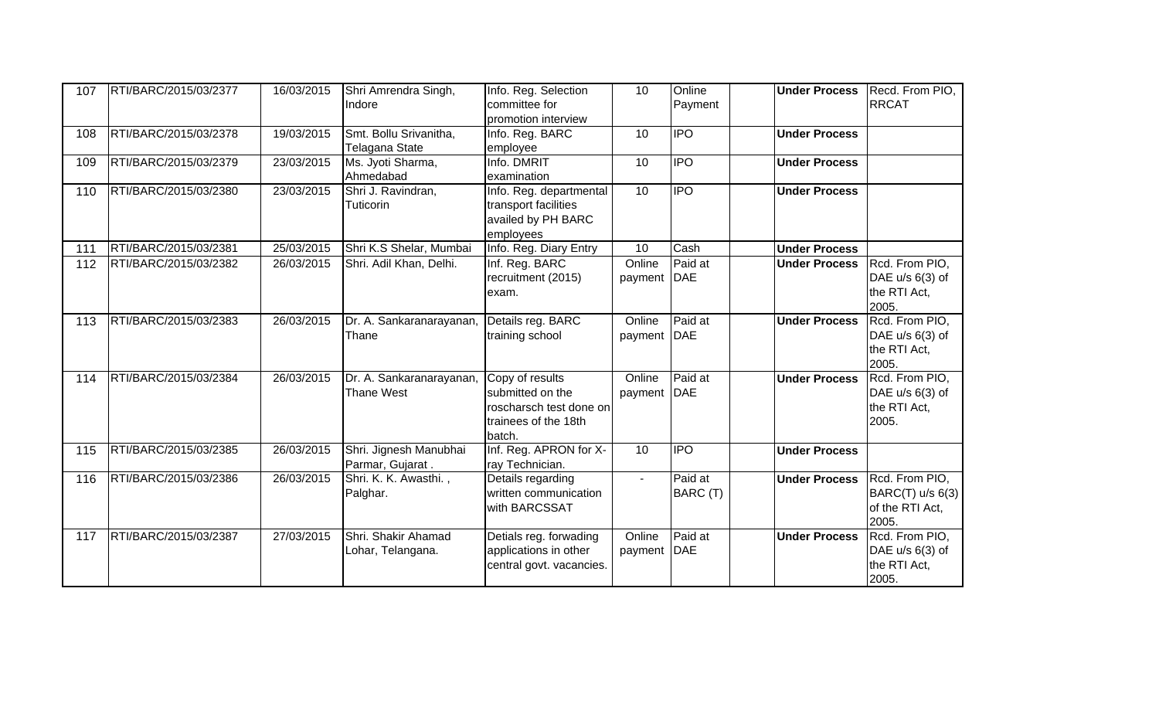| 107 | RTI/BARC/2015/03/2377 | 16/03/2015 | Shri Amrendra Singh,<br>Indore                | Info. Reg. Selection<br>committee for<br>promotion interview                                     | 10                | Online<br>Payment     | <b>Under Process</b> | Recd. From PIO,<br><b>RRCAT</b>                                |
|-----|-----------------------|------------|-----------------------------------------------|--------------------------------------------------------------------------------------------------|-------------------|-----------------------|----------------------|----------------------------------------------------------------|
| 108 | RTI/BARC/2015/03/2378 | 19/03/2015 | Smt. Bollu Srivanitha,<br>Telagana State      | Info. Reg. BARC<br>employee                                                                      | 10                | $\overline{IPO}$      | <b>Under Process</b> |                                                                |
| 109 | RTI/BARC/2015/03/2379 | 23/03/2015 | Ms. Jyoti Sharma,<br>Ahmedabad                | Info. DMRIT<br>examination                                                                       | 10                | <b>IPO</b>            | <b>Under Process</b> |                                                                |
| 110 | RTI/BARC/2015/03/2380 | 23/03/2015 | Shri J. Ravindran,<br>Tuticorin               | Info. Reg. departmental<br>transport facilities<br>availed by PH BARC<br>employees               | 10                | $\overline{P}$        | <b>Under Process</b> |                                                                |
| 111 | RTI/BARC/2015/03/2381 | 25/03/2015 | Shri K.S Shelar, Mumbai                       | Info. Reg. Diary Entry                                                                           | 10                | Cash                  | <b>Under Process</b> |                                                                |
| 112 | RTI/BARC/2015/03/2382 | 26/03/2015 | Shri. Adil Khan, Delhi.                       | Inf. Reg. BARC<br>recruitment (2015)<br>exam.                                                    | Online<br>payment | Paid at<br><b>DAE</b> | <b>Under Process</b> | Rcd. From PIO,<br>DAE $u/s$ 6(3) of<br>the RTI Act,<br>2005.   |
| 113 | RTI/BARC/2015/03/2383 | 26/03/2015 | Dr. A. Sankaranarayanan,<br>Thane             | Details reg. BARC<br>training school                                                             | Online<br>payment | Paid at<br><b>DAE</b> | <b>Under Process</b> | Rcd. From PIO,<br>DAE u/s 6(3) of<br>the RTI Act,<br>2005.     |
| 114 | RTI/BARC/2015/03/2384 | 26/03/2015 | Dr. A. Sankaranarayanan,<br><b>Thane West</b> | Copy of results<br>submitted on the<br>roscharsch test done on<br>trainees of the 18th<br>batch. | Online<br>payment | Paid at<br><b>DAE</b> | <b>Under Process</b> | Rcd. From PIO,<br>DAE u/s 6(3) of<br>the RTI Act,<br>2005.     |
| 115 | RTI/BARC/2015/03/2385 | 26/03/2015 | Shri. Jignesh Manubhai<br>Parmar, Gujarat.    | Inf. Reg. APRON for X-<br>ray Technician.                                                        | 10                | $\overline{P}$        | <b>Under Process</b> |                                                                |
| 116 | RTI/BARC/2015/03/2386 | 26/03/2015 | Shri. K. K. Awasthi.,<br>Palghar.             | Details regarding<br>written communication<br>with BARCSSAT                                      | $\blacksquare$    | Paid at<br>BARC (T)   | <b>Under Process</b> | Rcd. From PIO,<br>BARC(T) u/s 6(3)<br>of the RTI Act,<br>2005. |
| 117 | RTI/BARC/2015/03/2387 | 27/03/2015 | Shri. Shakir Ahamad<br>Lohar, Telangana.      | Detials reg. forwading<br>applications in other<br>central govt. vacancies.                      | Online<br>payment | Paid at<br><b>DAE</b> | <b>Under Process</b> | Rcd. From PIO.<br>DAE u/s 6(3) of<br>the RTI Act,<br>2005.     |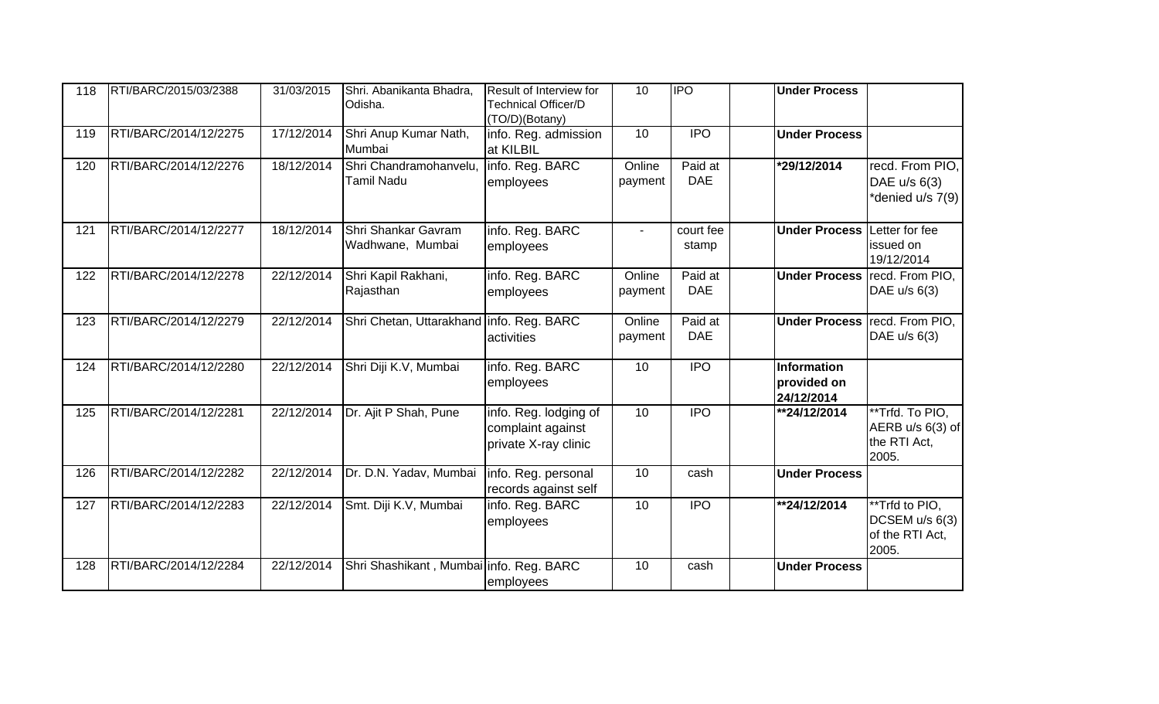| 118 | RTI/BARC/2015/03/2388 | 31/03/2015 | Shri. Abanikanta Bhadra,<br>Odisha.         | Result of Interview for<br><b>Technical Officer/D</b><br>(TO/D)(Botany) | 10                | <b>IPO</b>            | <b>Under Process</b>                     |                                                                |
|-----|-----------------------|------------|---------------------------------------------|-------------------------------------------------------------------------|-------------------|-----------------------|------------------------------------------|----------------------------------------------------------------|
| 119 | RTI/BARC/2014/12/2275 | 17/12/2014 | Shri Anup Kumar Nath,<br>Mumbai             | info. Reg. admission<br>at KILBIL                                       | 10                | $\overline{IPO}$      | <b>Under Process</b>                     |                                                                |
| 120 | RTI/BARC/2014/12/2276 | 18/12/2014 | Shri Chandramohanvelu,<br><b>Tamil Nadu</b> | info. Reg. BARC<br>employees                                            | Online<br>payment | Paid at<br><b>DAE</b> | *29/12/2014                              | recd. From PIO,<br>DAE u/s 6(3)<br>*denied u/s 7(9)            |
| 121 | RTI/BARC/2014/12/2277 | 18/12/2014 | Shri Shankar Gavram<br>Wadhwane, Mumbai     | info. Reg. BARC<br>employees                                            | $\mathbf{r}$      | court fee<br>stamp    | <b>Under Process Letter for fee</b>      | issued on<br>19/12/2014                                        |
| 122 | RTI/BARC/2014/12/2278 | 22/12/2014 | Shri Kapil Rakhani,<br>Rajasthan            | info. Reg. BARC<br>employees                                            | Online<br>payment | Paid at<br><b>DAE</b> |                                          | Under Process recd. From PIO,<br>DAE u/s 6(3)                  |
| 123 | RTI/BARC/2014/12/2279 | 22/12/2014 | Shri Chetan, Uttarakhand info. Reg. BARC    | activities                                                              | Online<br>payment | Paid at<br><b>DAE</b> |                                          | Under Process recd. From PIO,<br>DAE u/s 6(3)                  |
| 124 | RTI/BARC/2014/12/2280 | 22/12/2014 | Shri Diji K.V, Mumbai                       | info. Reg. BARC<br>employees                                            | 10                | <b>IPO</b>            | Information<br>provided on<br>24/12/2014 |                                                                |
| 125 | RTI/BARC/2014/12/2281 | 22/12/2014 | Dr. Ajit P Shah, Pune                       | info. Reg. lodging of<br>complaint against<br>private X-ray clinic      | 10                | <b>IPO</b>            | **24/12/2014                             | **Trfd. To PIO,<br>AERB u/s 6(3) of<br>the RTI Act,<br>2005.   |
| 126 | RTI/BARC/2014/12/2282 | 22/12/2014 | Dr. D.N. Yadav, Mumbai                      | info. Reg. personal<br>records against self                             | 10                | cash                  | <b>Under Process</b>                     |                                                                |
| 127 | RTI/BARC/2014/12/2283 | 22/12/2014 | Smt. Diji K.V, Mumbai                       | info. Reg. BARC<br>employees                                            | 10                | <b>IPO</b>            | **24/12/2014                             | **Trfd to PIO,<br>DCSEM $u/s 6(3)$<br>of the RTI Act,<br>2005. |
| 128 | RTI/BARC/2014/12/2284 | 22/12/2014 | Shri Shashikant, Mumbai info. Reg. BARC     | employees                                                               | 10                | cash                  | <b>Under Process</b>                     |                                                                |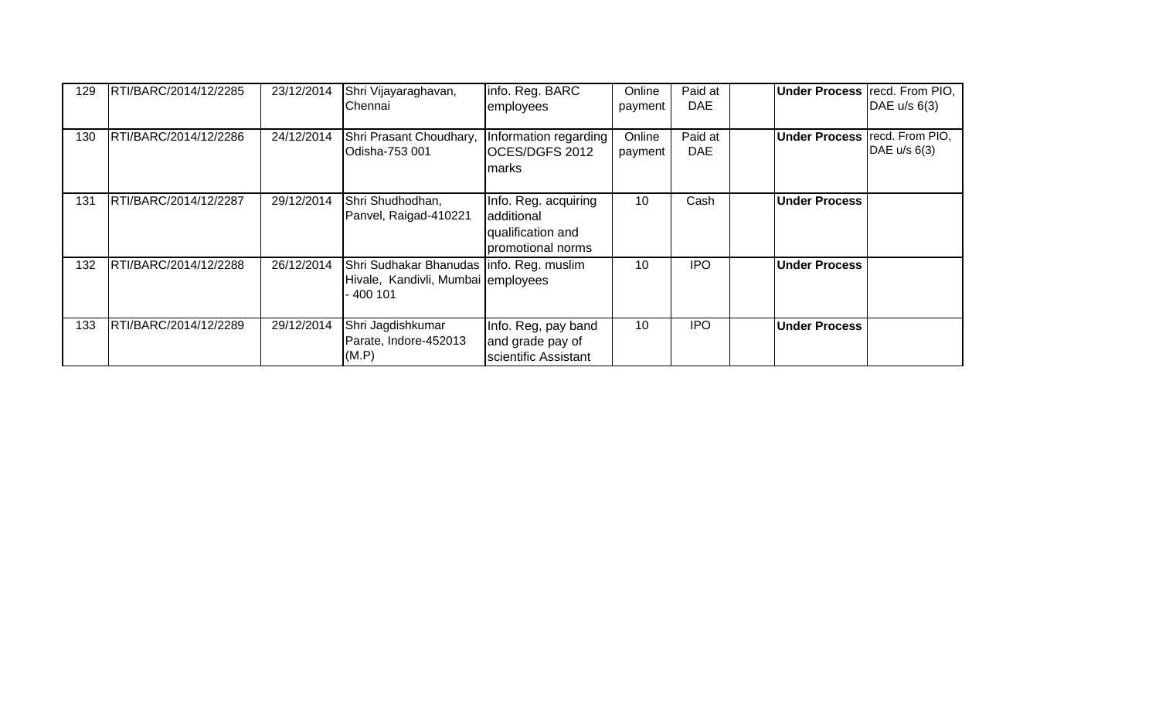| 129 | RTI/BARC/2014/12/2285  | 23/12/2014 | Shri Vijayaraghavan,<br>lChennai                                                            | info. Reg. BARC<br>employees                                                 | Online<br>payment | Paid at<br><b>DAE</b> | <b>Under Process</b> recd. From PIO,   | DAE u/s 6(3) |
|-----|------------------------|------------|---------------------------------------------------------------------------------------------|------------------------------------------------------------------------------|-------------------|-----------------------|----------------------------------------|--------------|
| 130 | RTI/BARC/2014/12/2286  | 24/12/2014 | Shri Prasant Choudhary,<br>Odisha-753 001                                                   | Information regarding<br>OCES/DGFS 2012<br><b>marks</b>                      | Online<br>payment | Paid at<br><b>DAE</b> | <b>Under Process   recd. From PIO,</b> | DAE u/s 6(3) |
| 131 | RTI/BARC/2014/12/2287  | 29/12/2014 | Shri Shudhodhan,<br>Panvel, Raigad-410221                                                   | Info. Reg. acquiring<br>additional<br>qualification and<br>promotional norms | 10                | Cash                  | <b>Under Process</b>                   |              |
| 132 | IRTI/BARC/2014/12/2288 | 26/12/2014 | Shri Sudhakar Bhanudas   info. Reg. muslim<br>Hivale, Kandivli, Mumbai employees<br>400 101 |                                                                              | 10                | <b>IPO</b>            | <b>Under Process</b>                   |              |
| 133 | RTI/BARC/2014/12/2289  | 29/12/2014 | Shri Jagdishkumar<br>Parate, Indore-452013<br>(M.P)                                         | Info. Reg, pay band<br>and grade pay of<br>scientific Assistant              | 10                | <b>IPO</b>            | <b>Under Process</b>                   |              |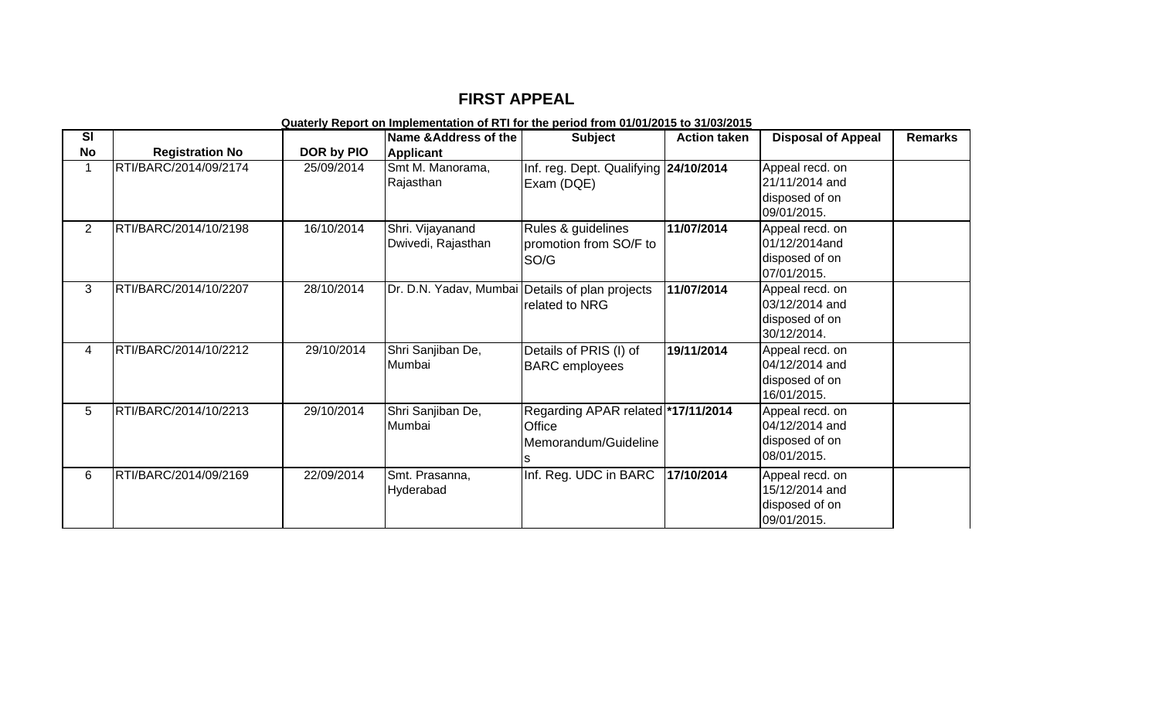## **FIRST APPEAL**

## **Quaterly Report on Implementation of RTI for the period from 01/01/2015 to 31/03/2015**

| SI             |                        |            | Name & Address of the                  | <b>Subject</b>                                                                     | <b>Action taken</b> | <b>Disposal of Appeal</b>                                          | <b>Remarks</b> |
|----------------|------------------------|------------|----------------------------------------|------------------------------------------------------------------------------------|---------------------|--------------------------------------------------------------------|----------------|
| <b>No</b>      | <b>Registration No</b> | DOR by PIO | <b>Applicant</b>                       |                                                                                    |                     |                                                                    |                |
| 1              | RTI/BARC/2014/09/2174  | 25/09/2014 | Smt M. Manorama,<br>Rajasthan          | Inf. reg. Dept. Qualifying 24/10/2014<br>Exam (DQE)                                |                     | Appeal recd. on<br>21/11/2014 and<br>disposed of on<br>09/01/2015. |                |
| $\overline{2}$ | RTI/BARC/2014/10/2198  | 16/10/2014 | Shri. Vijayanand<br>Dwivedi, Rajasthan | Rules & guidelines<br>promotion from SO/F to<br>SO/G                               | 11/07/2014          | Appeal recd. on<br>01/12/2014and<br>disposed of on<br>07/01/2015.  |                |
| 3              | RTI/BARC/2014/10/2207  | 28/10/2014 |                                        | Dr. D.N. Yadav, Mumbai Details of plan projects<br>related to NRG                  | 11/07/2014          | Appeal recd. on<br>03/12/2014 and<br>disposed of on<br>30/12/2014. |                |
| 4              | RTI/BARC/2014/10/2212  | 29/10/2014 | Shri Sanjiban De,<br>Mumbai            | Details of PRIS (I) of<br><b>BARC</b> employees                                    | 19/11/2014          | Appeal recd. on<br>04/12/2014 and<br>disposed of on<br>16/01/2015. |                |
| 5              | RTI/BARC/2014/10/2213  | 29/10/2014 | Shri Sanjiban De,<br>Mumbai            | Regarding APAR related *17/11/2014<br><b>Office</b><br>Memorandum/Guideline<br>IS. |                     | Appeal recd. on<br>04/12/2014 and<br>disposed of on<br>08/01/2015. |                |
| 6              | RTI/BARC/2014/09/2169  | 22/09/2014 | Smt. Prasanna,<br>Hyderabad            | Inf. Reg. UDC in BARC                                                              | 17/10/2014          | Appeal recd. on<br>15/12/2014 and<br>disposed of on<br>09/01/2015. |                |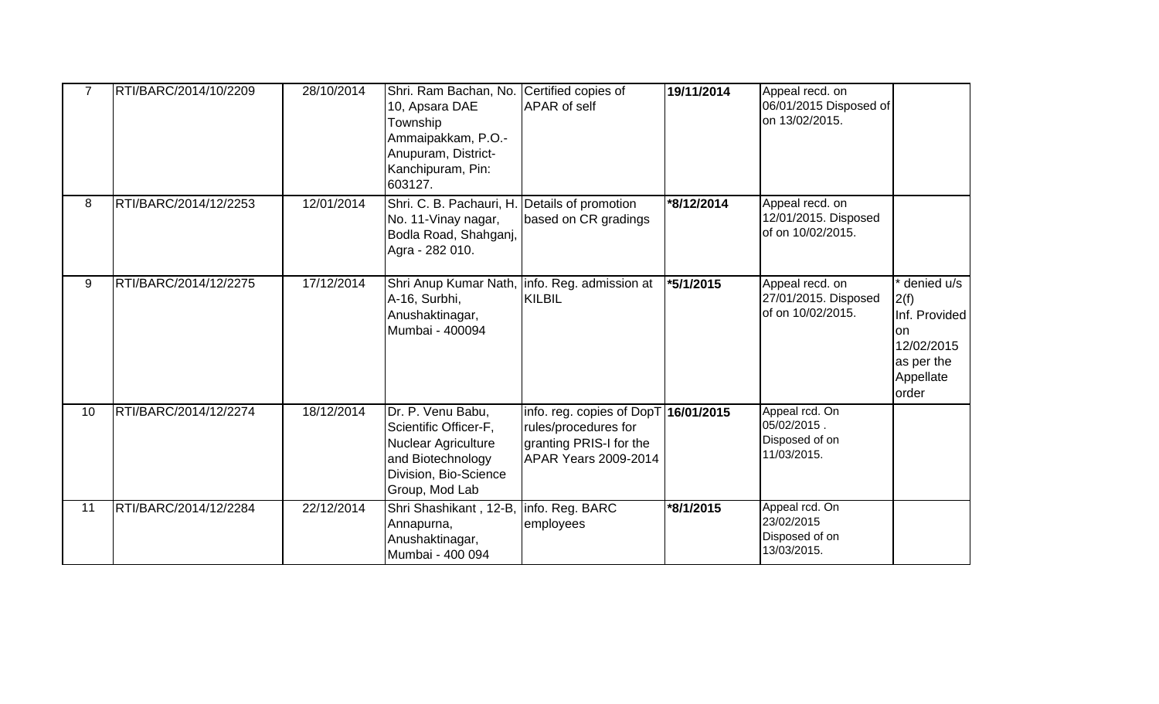| 7  | RTI/BARC/2014/10/2209 | 28/10/2014 | Shri. Ram Bachan, No. Certified copies of<br>10, Apsara DAE<br>Township<br>Ammaipakkam, P.O.-<br>Anupuram, District-<br>Kanchipuram, Pin:<br>603127. | <b>APAR</b> of self                                                                                                    | 19/11/2014 | Appeal recd. on<br>06/01/2015 Disposed of<br>on 13/02/2015.    |                                                                                                    |
|----|-----------------------|------------|------------------------------------------------------------------------------------------------------------------------------------------------------|------------------------------------------------------------------------------------------------------------------------|------------|----------------------------------------------------------------|----------------------------------------------------------------------------------------------------|
| 8  | RTI/BARC/2014/12/2253 | 12/01/2014 | Shri. C. B. Pachauri, H. Details of promotion<br>No. 11-Vinay nagar,<br>Bodla Road, Shahganj,<br>Agra - 282 010.                                     | based on CR gradings                                                                                                   | *8/12/2014 | Appeal recd. on<br>12/01/2015. Disposed<br>of on 10/02/2015.   |                                                                                                    |
| 9  | RTI/BARC/2014/12/2275 | 17/12/2014 | A-16, Surbhi,<br>Anushaktinagar,<br>Mumbai - 400094                                                                                                  | Shri Anup Kumar Nath, Info. Reg. admission at<br><b>KILBIL</b>                                                         | *5/1/2015  | Appeal recd. on<br>27/01/2015. Disposed<br>of on 10/02/2015.   | denied u/s<br>2(f)<br>Inf. Provided<br><b>on</b><br>12/02/2015<br>as per the<br>Appellate<br>order |
| 10 | RTI/BARC/2014/12/2274 | 18/12/2014 | Dr. P. Venu Babu,<br>Scientific Officer-F,<br><b>Nuclear Agriculture</b><br>and Biotechnology<br>Division, Bio-Science<br>Group, Mod Lab             | info. reg. copies of DopT 16/01/2015<br>rules/procedures for<br>granting PRIS-I for the<br><b>APAR Years 2009-2014</b> |            | Appeal rcd. On<br>05/02/2015.<br>Disposed of on<br>11/03/2015. |                                                                                                    |
| 11 | RTI/BARC/2014/12/2284 | 22/12/2014 | Shri Shashikant, 12-B,<br>Annapurna,<br>Anushaktinagar,<br>Mumbai - 400 094                                                                          | info. Reg. BARC<br>employees                                                                                           | *8/1/2015  | Appeal rcd. On<br>23/02/2015<br>Disposed of on<br>13/03/2015.  |                                                                                                    |